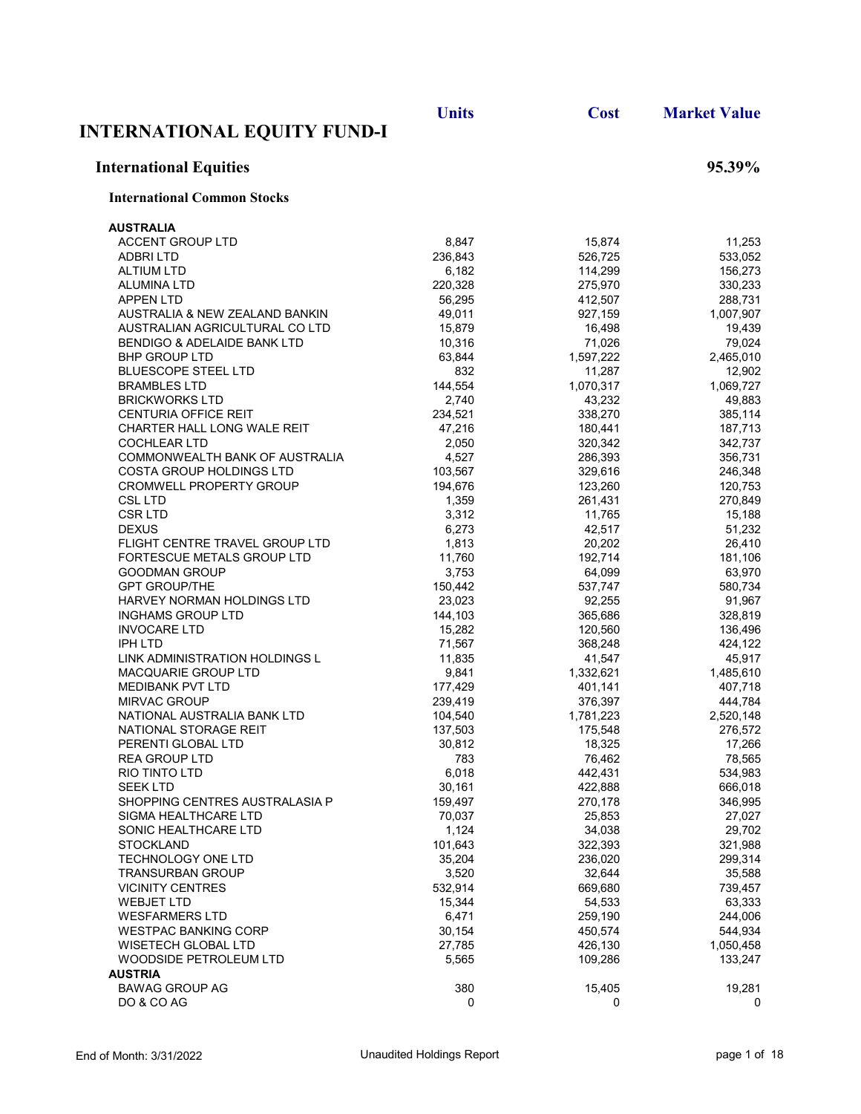|                                                    | <b>Units</b>      | <b>Cost</b>       | <b>Market Value</b> |
|----------------------------------------------------|-------------------|-------------------|---------------------|
| <b>INTERNATIONAL EQUITY FUND-I</b>                 |                   |                   |                     |
| <b>International Equities</b>                      |                   |                   | 95.39%              |
| <b>International Common Stocks</b>                 |                   |                   |                     |
| <b>AUSTRALIA</b>                                   |                   |                   |                     |
| <b>ACCENT GROUP LTD</b>                            | 8,847             | 15,874            | 11,253              |
| <b>ADBRILTD</b>                                    | 236,843           | 526,725           | 533,052             |
| <b>ALTIUM LTD</b>                                  | 6,182             | 114,299           | 156,273             |
| ALUMINA LTD                                        | 220,328           | 275,970           | 330,233             |
| <b>APPEN LTD</b>                                   | 56,295            | 412,507           | 288,731             |
| AUSTRALIA & NEW ZEALAND BANKIN                     | 49,011            | 927,159           | 1,007,907           |
| AUSTRALIAN AGRICULTURAL CO LTD                     | 15,879            | 16,498            | 19,439              |
| <b>BENDIGO &amp; ADELAIDE BANK LTD</b>             | 10,316            | 71,026            | 79,024              |
| <b>BHP GROUP LTD</b>                               | 63,844            | 1,597,222         | 2,465,010           |
| <b>BLUESCOPE STEEL LTD</b>                         | 832               | 11,287            | 12,902              |
| <b>BRAMBLES LTD</b>                                | 144,554           | 1,070,317         | 1,069,727           |
| <b>BRICKWORKS LTD</b>                              | 2,740             | 43,232            | 49,883              |
| <b>CENTURIA OFFICE REIT</b>                        | 234,521           | 338,270           | 385,114             |
| CHARTER HALL LONG WALE REIT                        | 47,216            | 180.441           | 187,713             |
| <b>COCHLEAR LTD</b>                                | 2,050             | 320,342           | 342,737             |
| COMMONWEALTH BANK OF AUSTRALIA                     | 4,527             | 286,393           | 356,731             |
| COSTA GROUP HOLDINGS LTD                           | 103,567           | 329,616           | 246,348             |
| <b>CROMWELL PROPERTY GROUP</b>                     | 194,676           | 123,260           | 120,753             |
| <b>CSL LTD</b>                                     | 1,359             | 261,431           | 270,849             |
| <b>CSRLTD</b>                                      | 3,312             | 11,765            | 15,188              |
| <b>DEXUS</b>                                       | 6,273             | 42,517            | 51,232              |
| FLIGHT CENTRE TRAVEL GROUP LTD                     | 1,813             | 20,202            | 26,410              |
| FORTESCUE METALS GROUP LTD                         | 11,760            | 192,714           | 181,106             |
| <b>GOODMAN GROUP</b>                               | 3,753             | 64,099            | 63,970              |
| <b>GPT GROUP/THE</b>                               | 150,442           | 537,747           | 580,734             |
| HARVEY NORMAN HOLDINGS LTD                         | 23,023            | 92,255            | 91,967              |
| <b>INGHAMS GROUP LTD</b>                           | 144,103           | 365,686           | 328,819             |
| <b>INVOCARE LTD</b>                                | 15,282            | 120,560           | 136,496             |
| IPH LTD                                            | 71,567            | 368,248           | 424,122             |
| LINK ADMINISTRATION HOLDINGS L                     | 11,835            | 41,547            | 45,917              |
| MACQUARIE GROUP LTD                                | 9,841             | 1,332,621         | 1,485,610           |
| <b>MEDIBANK PVT LTD</b>                            | 177,429           | 401,141           | 407,718             |
| <b>MIRVAC GROUP</b><br>NATIONAL AUSTRALIA BANK LTD | 239,419           | 376,397           | 444,784             |
| NATIONAL STORAGE REIT                              | 104,540           | 1,781,223         | 2,520,148           |
| PERENTI GLOBAL LTD                                 | 137,503<br>30,812 | 175,548<br>18,325 | 276,572<br>17,266   |
| <b>REA GROUP LTD</b>                               | 783               | 76,462            | 78,565              |
| RIO TINTO LTD                                      | 6,018             | 442,431           | 534,983             |
| SEEK LTD                                           | 30,161            | 422,888           | 666,018             |
| SHOPPING CENTRES AUSTRALASIA P                     | 159,497           | 270,178           | 346,995             |
| SIGMA HEALTHCARE LTD                               | 70,037            | 25,853            | 27,027              |
| SONIC HEALTHCARE LTD                               | 1,124             | 34,038            | 29,702              |
| <b>STOCKLAND</b>                                   | 101,643           | 322,393           | 321,988             |
| <b>TECHNOLOGY ONE LTD</b>                          | 35,204            | 236,020           | 299,314             |
| <b>TRANSURBAN GROUP</b>                            | 3,520             | 32,644            | 35,588              |
| <b>VICINITY CENTRES</b>                            | 532,914           | 669,680           | 739,457             |
| <b>WEBJET LTD</b>                                  | 15,344            | 54,533            | 63,333              |
| <b>WESFARMERS LTD</b>                              | 6,471             | 259,190           | 244,006             |
| <b>WESTPAC BANKING CORP</b>                        | 30,154            | 450,574           | 544,934             |
| WISETECH GLOBAL LTD                                | 27,785            | 426,130           | 1,050,458           |
| WOODSIDE PETROLEUM LTD                             | 5,565             | 109,286           | 133,247             |
| <b>AUSTRIA</b>                                     |                   |                   |                     |
| <b>BAWAG GROUP AG</b>                              | 380               | 15,405            | 19,281              |
| DO & CO AG                                         | 0                 | 0                 | 0                   |
|                                                    |                   |                   |                     |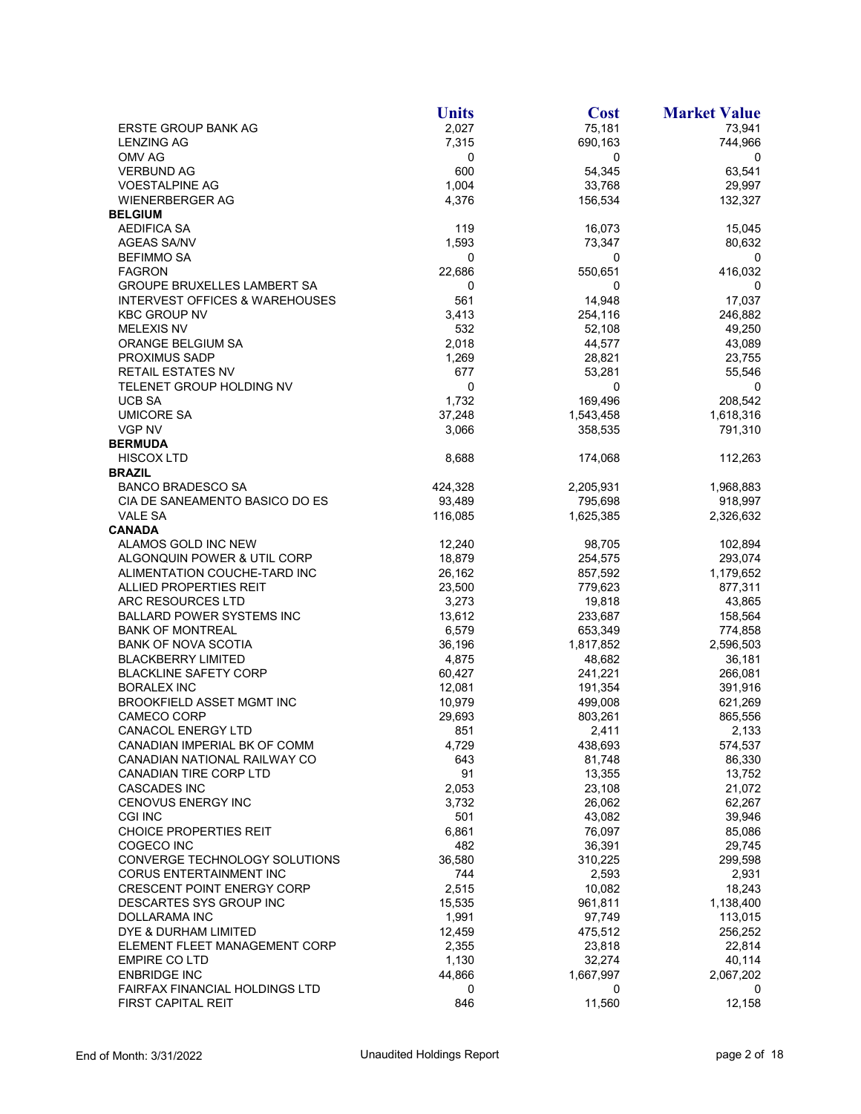|                                           | <b>Units</b> | <b>Cost</b> | <b>Market Value</b> |
|-------------------------------------------|--------------|-------------|---------------------|
| ERSTE GROUP BANK AG                       | 2,027        | 75,181      | 73,941              |
| <b>LENZING AG</b>                         | 7,315        | 690,163     | 744,966             |
| OMV AG                                    | 0            | 0           | 0                   |
| <b>VERBUND AG</b>                         | 600          | 54,345      | 63,541              |
| <b>VOESTALPINE AG</b>                     | 1,004        | 33,768      | 29,997              |
| <b>WIENERBERGER AG</b>                    | 4,376        | 156,534     | 132,327             |
| <b>BELGIUM</b>                            |              |             |                     |
| <b>AEDIFICA SA</b>                        | 119          | 16,073      | 15,045              |
| <b>AGEAS SA/NV</b>                        | 1,593        | 73,347      | 80,632              |
| <b>BEFIMMO SA</b>                         | 0            | 0           | 0                   |
| <b>FAGRON</b>                             | 22,686       | 550,651     | 416,032             |
| <b>GROUPE BRUXELLES LAMBERT SA</b>        | 0            | 0           | 0                   |
| <b>INTERVEST OFFICES &amp; WAREHOUSES</b> | 561          | 14,948      | 17,037              |
| <b>KBC GROUP NV</b>                       | 3,413        | 254,116     | 246,882             |
| <b>MELEXIS NV</b>                         | 532          | 52,108      | 49,250              |
| ORANGE BELGIUM SA                         | 2,018        | 44,577      | 43,089              |
| <b>PROXIMUS SADP</b>                      | 1,269        | 28,821      | 23,755              |
| <b>RETAIL ESTATES NV</b>                  | 677          | 53,281      | 55,546              |
| TELENET GROUP HOLDING NV                  | 0            | 0           | 0                   |
| <b>UCB SA</b>                             | 1,732        | 169,496     | 208,542             |
| <b>UMICORE SA</b>                         | 37,248       | 1,543,458   | 1,618,316           |
| VGP NV                                    | 3,066        | 358,535     | 791,310             |
| <b>BERMUDA</b>                            |              |             |                     |
|                                           |              |             |                     |
| <b>HISCOX LTD</b><br><b>BRAZIL</b>        | 8,688        | 174,068     | 112,263             |
| <b>BANCO BRADESCO SA</b>                  |              | 2,205,931   |                     |
|                                           | 424,328      |             | 1,968,883           |
| CIA DE SANEAMENTO BASICO DO ES            | 93,489       | 795,698     | 918,997             |
| <b>VALE SA</b>                            | 116,085      | 1,625,385   | 2,326,632           |
| <b>CANADA</b>                             |              |             |                     |
| ALAMOS GOLD INC NEW                       | 12,240       | 98,705      | 102,894             |
| ALGONQUIN POWER & UTIL CORP               | 18,879       | 254,575     | 293,074             |
| ALIMENTATION COUCHE-TARD INC              | 26,162       | 857,592     | 1,179,652           |
| ALLIED PROPERTIES REIT                    | 23,500       | 779,623     | 877,311             |
| ARC RESOURCES LTD                         | 3,273        | 19,818      | 43,865              |
| <b>BALLARD POWER SYSTEMS INC</b>          | 13,612       | 233,687     | 158,564             |
| <b>BANK OF MONTREAL</b>                   | 6,579        | 653,349     | 774,858             |
| <b>BANK OF NOVA SCOTIA</b>                | 36,196       | 1,817,852   | 2,596,503           |
| <b>BLACKBERRY LIMITED</b>                 | 4,875        | 48,682      | 36,181              |
| <b>BLACKLINE SAFETY CORP</b>              | 60,427       | 241,221     | 266,081             |
| <b>BORALEX INC</b>                        | 12,081       | 191,354     | 391,916             |
| BROOKFIELD ASSET MGMT INC                 | 10,979       | 499,008     | 621,269             |
| <b>CAMECO CORP</b>                        | 29,693       | 803,261     | 865,556             |
| <b>CANACOL ENERGY LTD</b>                 | 851          | 2,411       | 2,133               |
| CANADIAN IMPERIAL BK OF COMM              | 4,729        | 438,693     | 574,537             |
| CANADIAN NATIONAL RAILWAY CO              | 643          | 81,748      | 86,330              |
| CANADIAN TIRE CORP LTD                    | 91           | 13,355      | 13,752              |
| <b>CASCADES INC</b>                       | 2,053        | 23,108      | 21,072              |
| <b>CENOVUS ENERGY INC</b>                 | 3,732        | 26,062      | 62,267              |
| <b>CGI INC</b>                            | 501          | 43,082      | 39,946              |
| <b>CHOICE PROPERTIES REIT</b>             | 6,861        | 76,097      | 85,086              |
| COGECO INC                                | 482          | 36,391      | 29,745              |
| CONVERGE TECHNOLOGY SOLUTIONS             | 36,580       | 310,225     | 299,598             |
| <b>CORUS ENTERTAINMENT INC</b>            | 744          | 2,593       | 2,931               |
| <b>CRESCENT POINT ENERGY CORP</b>         | 2,515        | 10,082      | 18,243              |
| DESCARTES SYS GROUP INC                   | 15,535       | 961,811     | 1,138,400           |
| DOLLARAMA INC                             | 1,991        | 97,749      | 113,015             |
| DYE & DURHAM LIMITED                      | 12,459       | 475,512     | 256,252             |
| ELEMENT FLEET MANAGEMENT CORP             | 2,355        | 23,818      | 22,814              |
| <b>EMPIRE CO LTD</b>                      | 1,130        | 32,274      | 40,114              |
| <b>ENBRIDGE INC</b>                       | 44,866       | 1,667,997   | 2,067,202           |
| FAIRFAX FINANCIAL HOLDINGS LTD            | 0            | 0           | 0                   |
| FIRST CAPITAL REIT                        | 846          | 11,560      | 12,158              |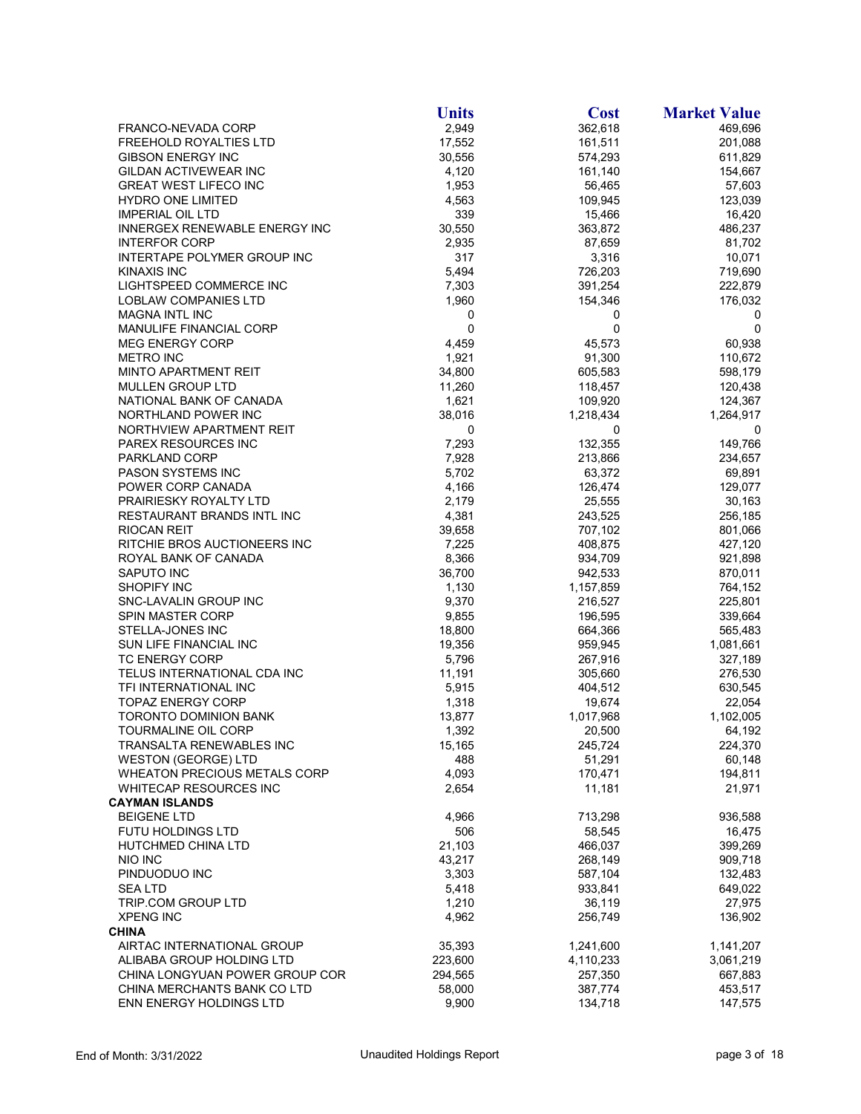|                                     | <b>Units</b> | <b>Cost</b> | <b>Market Value</b> |
|-------------------------------------|--------------|-------------|---------------------|
| FRANCO-NEVADA CORP                  | 2,949        | 362,618     | 469,696             |
| FREEHOLD ROYALTIES LTD              | 17,552       | 161,511     | 201,088             |
| <b>GIBSON ENERGY INC</b>            | 30,556       | 574,293     | 611,829             |
| GILDAN ACTIVEWEAR INC               | 4,120        | 161,140     | 154,667             |
| <b>GREAT WEST LIFECO INC</b>        | 1,953        | 56,465      | 57,603              |
| <b>HYDRO ONE LIMITED</b>            | 4,563        | 109,945     | 123,039             |
| <b>IMPERIAL OIL LTD</b>             | 339          | 15,466      | 16,420              |
| INNERGEX RENEWABLE ENERGY INC       | 30,550       | 363,872     | 486,237             |
| <b>INTERFOR CORP</b>                | 2,935        | 87,659      | 81,702              |
| INTERTAPE POLYMER GROUP INC         | 317          | 3,316       | 10,071              |
| KINAXIS INC                         | 5,494        | 726,203     | 719,690             |
| LIGHTSPEED COMMERCE INC             | 7,303        | 391,254     | 222,879             |
| <b>LOBLAW COMPANIES LTD</b>         | 1,960        | 154,346     | 176,032             |
| <b>MAGNA INTL INC</b>               | 0            | 0           | 0                   |
| <b>MANULIFE FINANCIAL CORP</b>      | 0            | 0           | 0                   |
| <b>MEG ENERGY CORP</b>              | 4,459        | 45,573      | 60,938              |
| <b>METRO INC</b>                    | 1,921        | 91,300      | 110,672             |
| <b>MINTO APARTMENT REIT</b>         | 34,800       | 605,583     | 598,179             |
| MULLEN GROUP LTD                    |              |             |                     |
|                                     | 11,260       | 118,457     | 120,438             |
| NATIONAL BANK OF CANADA             | 1,621        | 109,920     | 124,367             |
| NORTHLAND POWER INC                 | 38,016       | 1,218,434   | 1,264,917           |
| NORTHVIEW APARTMENT REIT            | 0            | 0           | 0                   |
| PAREX RESOURCES INC                 | 7,293        | 132,355     | 149,766             |
| PARKLAND CORP                       | 7,928        | 213,866     | 234,657             |
| <b>PASON SYSTEMS INC</b>            | 5,702        | 63,372      | 69,891              |
| POWER CORP CANADA                   | 4,166        | 126,474     | 129,077             |
| PRAIRIESKY ROYALTY LTD              | 2,179        | 25,555      | 30,163              |
| RESTAURANT BRANDS INTL INC          | 4,381        | 243,525     | 256,185             |
| <b>RIOCAN REIT</b>                  | 39,658       | 707,102     | 801,066             |
| RITCHIE BROS AUCTIONEERS INC        | 7,225        | 408,875     | 427,120             |
| ROYAL BANK OF CANADA                | 8,366        | 934,709     | 921,898             |
| SAPUTO INC                          | 36,700       | 942,533     | 870,011             |
| <b>SHOPIFY INC</b>                  | 1,130        | 1,157,859   | 764,152             |
| SNC-LAVALIN GROUP INC               | 9,370        | 216,527     | 225,801             |
| SPIN MASTER CORP                    | 9,855        | 196,595     | 339,664             |
| STELLA-JONES INC                    | 18,800       | 664,366     | 565,483             |
| SUN LIFE FINANCIAL INC              | 19,356       | 959,945     | 1,081,661           |
| <b>TC ENERGY CORP</b>               | 5,796        | 267,916     | 327,189             |
| TELUS INTERNATIONAL CDA INC         | 11,191       | 305,660     | 276,530             |
| TFI INTERNATIONAL INC               | 5,915        | 404,512     | 630,545             |
| <b>TOPAZ ENERGY CORP</b>            | 1,318        | 19,674      | 22,054              |
| <b>TORONTO DOMINION BANK</b>        | 13,877       | 1,017,968   | 1,102,005           |
| <b>TOURMALINE OIL CORP</b>          | 1,392        | 20,500      | 64,192              |
| TRANSALTA RENEWABLES INC            | 15,165       | 245,724     | 224,370             |
| <b>WESTON (GEORGE) LTD</b>          | 488          | 51,291      | 60,148              |
| <b>WHEATON PRECIOUS METALS CORP</b> | 4,093        | 170,471     | 194,811             |
| <b>WHITECAP RESOURCES INC</b>       | 2,654        | 11,181      | 21,971              |
| <b>CAYMAN ISLANDS</b>               |              |             |                     |
| <b>BEIGENE LTD</b>                  | 4,966        | 713,298     | 936,588             |
| <b>FUTU HOLDINGS LTD</b>            | 506          | 58,545      | 16,475              |
| HUTCHMED CHINA LTD                  | 21,103       | 466,037     | 399,269             |
| NIO INC                             | 43,217       | 268,149     | 909,718             |
| PINDUODUO INC                       | 3,303        | 587,104     | 132,483             |
| <b>SEALTD</b>                       | 5,418        | 933,841     | 649,022             |
| TRIP.COM GROUP LTD                  | 1,210        | 36,119      | 27,975              |
| <b>XPENG INC</b>                    | 4,962        | 256,749     | 136,902             |
| <b>CHINA</b>                        |              |             |                     |
| AIRTAC INTERNATIONAL GROUP          | 35,393       | 1,241,600   | 1,141,207           |
| ALIBABA GROUP HOLDING LTD           | 223,600      | 4,110,233   | 3,061,219           |
| CHINA LONGYUAN POWER GROUP COR      | 294,565      | 257,350     | 667,883             |
| CHINA MERCHANTS BANK CO LTD         | 58,000       | 387,774     | 453,517             |
| ENN ENERGY HOLDINGS LTD             | 9,900        | 134,718     | 147,575             |
|                                     |              |             |                     |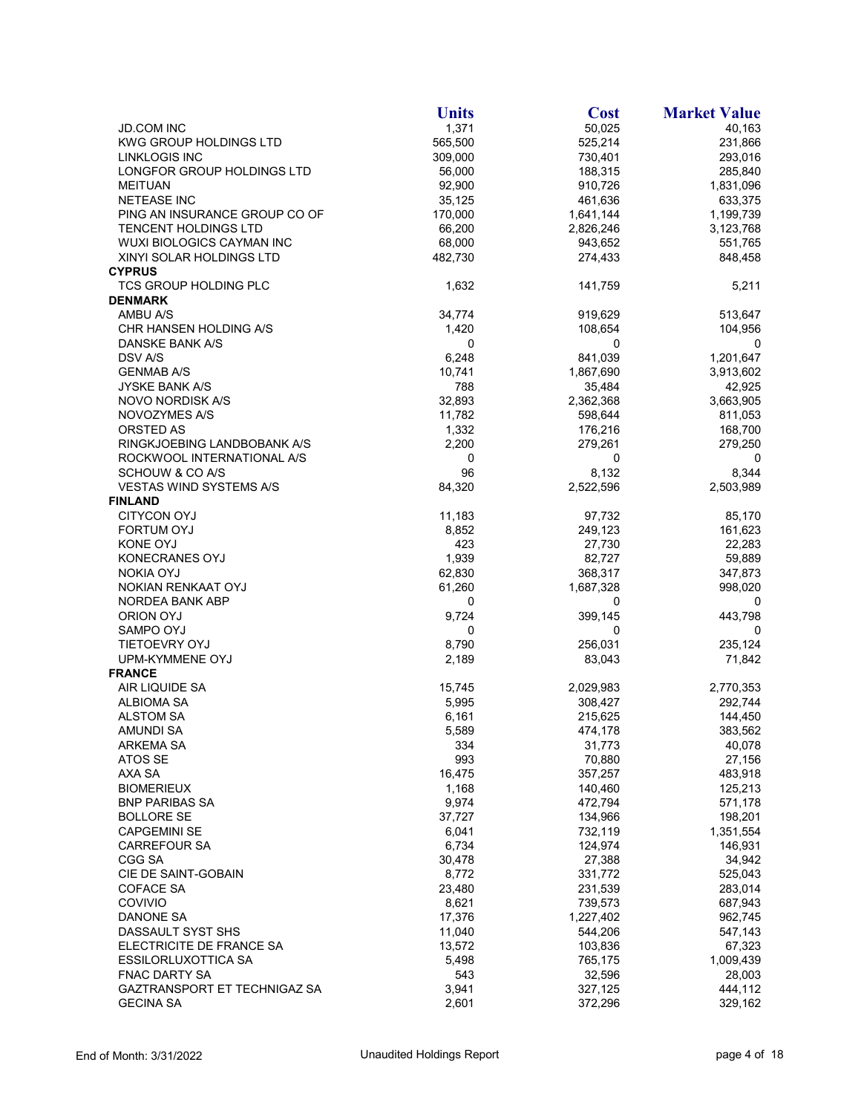| <b>JD.COM INC</b><br>1,371<br>50,025<br>40,163<br>565,500<br>525,214<br>231,866<br>KWG GROUP HOLDINGS LTD<br>293,016<br><b>LINKLOGIS INC</b><br>309,000<br>730,401<br>188,315<br>285,840<br>LONGFOR GROUP HOLDINGS LTD<br>56,000<br>92,900<br>910,726<br>1,831,096<br><b>MEITUAN</b><br><b>NETEASE INC</b><br>35,125<br>461,636<br>633,375<br>PING AN INSURANCE GROUP CO OF<br>170,000<br>1,641,144<br>1,199,739<br>66,200<br>2,826,246<br><b>TENCENT HOLDINGS LTD</b><br>3,123,768<br>68,000<br>WUXI BIOLOGICS CAYMAN INC<br>943,652<br>551,765<br>XINYI SOLAR HOLDINGS LTD<br>482,730<br>274,433<br>848,458<br><b>CYPRUS</b><br>5,211<br><b>TCS GROUP HOLDING PLC</b><br>1,632<br>141,759<br><b>DENMARK</b><br>AMBU A/S<br>34,774<br>919,629<br>513,647<br>CHR HANSEN HOLDING A/S<br>1,420<br>104,956<br>108,654<br>DANSKE BANK A/S<br>0<br>0<br>0<br>6,248<br>841,039<br>DSV A/S<br>1,201,647<br>10,741<br><b>GENMAB A/S</b><br>1,867,690<br>3,913,602<br><b>JYSKE BANK A/S</b><br>788<br>35,484<br>42,925<br>32,893<br>3,663,905<br>NOVO NORDISK A/S<br>2,362,368<br>11,782<br>598,644<br>NOVOZYMES A/S<br>811,053<br>1,332<br>ORSTED AS<br>176,216<br>168,700<br>2,200<br>RINGKJOEBING LANDBOBANK A/S<br>279,261<br>279,250<br>ROCKWOOL INTERNATIONAL A/S<br>0<br>0<br>0<br>96<br>8,132<br>8,344<br>SCHOUW & CO A/S<br>84,320<br><b>VESTAS WIND SYSTEMS A/S</b><br>2,522,596<br>2,503,989<br><b>FINLAND</b><br><b>CITYCON OYJ</b><br>11,183<br>97,732<br>85,170<br><b>FORTUM OYJ</b><br>8,852<br>249,123<br>161,623<br>423<br>KONE OYJ<br>27,730<br>22,283<br>1,939<br>KONECRANES OYJ<br>82,727<br>59,889<br>368,317<br><b>NOKIA OYJ</b><br>62,830<br>347,873<br>61,260<br>NOKIAN RENKAAT OYJ<br>1,687,328<br>998,020<br>NORDEA BANK ABP<br>0<br>0<br>0<br>9,724<br>443,798<br>ORION OYJ<br>399,145<br>SAMPO OYJ<br>0<br>0<br>0<br>256,031<br><b>TIETOEVRY OYJ</b><br>8,790<br>235,124<br>2,189<br>UPM-KYMMENE OYJ<br>83,043<br>71,842<br><b>FRANCE</b><br>AIR LIQUIDE SA<br>15,745<br>2,029,983<br>2,770,353<br><b>ALBIOMA SA</b><br>5,995<br>308,427<br>292,744<br><b>ALSTOM SA</b><br>6,161<br>215,625<br>144,450<br>5,589<br><b>AMUNDI SA</b><br>474,178<br>383,562<br>ARKEMA SA<br>334<br>31,773<br>40,078<br>70,880<br>ATOS SE<br>993<br>27,156<br>AXA SA<br>16,475<br>357,257<br>483,918<br><b>BIOMERIEUX</b><br>1,168<br>140,460<br>125,213<br>9,974<br><b>BNP PARIBAS SA</b><br>472,794<br>571,178<br><b>BOLLORE SE</b><br>37,727<br>134,966<br>198,201<br><b>CAPGEMINI SE</b><br>6,041<br>732,119<br>1,351,554<br>6,734<br>124,974<br>146,931<br><b>CARREFOUR SA</b><br>CGG SA<br>30,478<br>27,388<br>34,942<br>CIE DE SAINT-GOBAIN<br>8,772<br>331,772<br>525,043<br>COFACE SA<br>23,480<br>231,539<br>283,014<br>COVIVIO<br>8,621<br>739,573<br>687,943<br>DANONE SA<br>17,376<br>1,227,402<br>962,745<br>DASSAULT SYST SHS<br>11,040<br>544,206<br>547,143<br>ELECTRICITE DE FRANCE SA<br>13,572<br>103,836<br>67,323<br>ESSILORLUXOTTICA SA<br>5,498<br>765,175<br>1,009,439<br><b>FNAC DARTY SA</b><br>543<br>32,596<br>28,003<br>GAZTRANSPORT ET TECHNIGAZ SA<br>3,941<br>327,125<br>444,112<br>372,296<br><b>GECINA SA</b><br>2,601<br>329,162 | <b>Units</b> | <b>Cost</b> | <b>Market Value</b> |
|----------------------------------------------------------------------------------------------------------------------------------------------------------------------------------------------------------------------------------------------------------------------------------------------------------------------------------------------------------------------------------------------------------------------------------------------------------------------------------------------------------------------------------------------------------------------------------------------------------------------------------------------------------------------------------------------------------------------------------------------------------------------------------------------------------------------------------------------------------------------------------------------------------------------------------------------------------------------------------------------------------------------------------------------------------------------------------------------------------------------------------------------------------------------------------------------------------------------------------------------------------------------------------------------------------------------------------------------------------------------------------------------------------------------------------------------------------------------------------------------------------------------------------------------------------------------------------------------------------------------------------------------------------------------------------------------------------------------------------------------------------------------------------------------------------------------------------------------------------------------------------------------------------------------------------------------------------------------------------------------------------------------------------------------------------------------------------------------------------------------------------------------------------------------------------------------------------------------------------------------------------------------------------------------------------------------------------------------------------------------------------------------------------------------------------------------------------------------------------------------------------------------------------------------------------------------------------------------------------------------------------------------------------------------------------------------------------------------------------------------------------------------------------------------------------------------------------------------------------------------------------------------------------------------------------------------------------------------------------------------------------------------------------------------------------------------------------------------------------------------------------------------------------------------|--------------|-------------|---------------------|
|                                                                                                                                                                                                                                                                                                                                                                                                                                                                                                                                                                                                                                                                                                                                                                                                                                                                                                                                                                                                                                                                                                                                                                                                                                                                                                                                                                                                                                                                                                                                                                                                                                                                                                                                                                                                                                                                                                                                                                                                                                                                                                                                                                                                                                                                                                                                                                                                                                                                                                                                                                                                                                                                                                                                                                                                                                                                                                                                                                                                                                                                                                                                                                      |              |             |                     |
|                                                                                                                                                                                                                                                                                                                                                                                                                                                                                                                                                                                                                                                                                                                                                                                                                                                                                                                                                                                                                                                                                                                                                                                                                                                                                                                                                                                                                                                                                                                                                                                                                                                                                                                                                                                                                                                                                                                                                                                                                                                                                                                                                                                                                                                                                                                                                                                                                                                                                                                                                                                                                                                                                                                                                                                                                                                                                                                                                                                                                                                                                                                                                                      |              |             |                     |
|                                                                                                                                                                                                                                                                                                                                                                                                                                                                                                                                                                                                                                                                                                                                                                                                                                                                                                                                                                                                                                                                                                                                                                                                                                                                                                                                                                                                                                                                                                                                                                                                                                                                                                                                                                                                                                                                                                                                                                                                                                                                                                                                                                                                                                                                                                                                                                                                                                                                                                                                                                                                                                                                                                                                                                                                                                                                                                                                                                                                                                                                                                                                                                      |              |             |                     |
|                                                                                                                                                                                                                                                                                                                                                                                                                                                                                                                                                                                                                                                                                                                                                                                                                                                                                                                                                                                                                                                                                                                                                                                                                                                                                                                                                                                                                                                                                                                                                                                                                                                                                                                                                                                                                                                                                                                                                                                                                                                                                                                                                                                                                                                                                                                                                                                                                                                                                                                                                                                                                                                                                                                                                                                                                                                                                                                                                                                                                                                                                                                                                                      |              |             |                     |
|                                                                                                                                                                                                                                                                                                                                                                                                                                                                                                                                                                                                                                                                                                                                                                                                                                                                                                                                                                                                                                                                                                                                                                                                                                                                                                                                                                                                                                                                                                                                                                                                                                                                                                                                                                                                                                                                                                                                                                                                                                                                                                                                                                                                                                                                                                                                                                                                                                                                                                                                                                                                                                                                                                                                                                                                                                                                                                                                                                                                                                                                                                                                                                      |              |             |                     |
|                                                                                                                                                                                                                                                                                                                                                                                                                                                                                                                                                                                                                                                                                                                                                                                                                                                                                                                                                                                                                                                                                                                                                                                                                                                                                                                                                                                                                                                                                                                                                                                                                                                                                                                                                                                                                                                                                                                                                                                                                                                                                                                                                                                                                                                                                                                                                                                                                                                                                                                                                                                                                                                                                                                                                                                                                                                                                                                                                                                                                                                                                                                                                                      |              |             |                     |
|                                                                                                                                                                                                                                                                                                                                                                                                                                                                                                                                                                                                                                                                                                                                                                                                                                                                                                                                                                                                                                                                                                                                                                                                                                                                                                                                                                                                                                                                                                                                                                                                                                                                                                                                                                                                                                                                                                                                                                                                                                                                                                                                                                                                                                                                                                                                                                                                                                                                                                                                                                                                                                                                                                                                                                                                                                                                                                                                                                                                                                                                                                                                                                      |              |             |                     |
|                                                                                                                                                                                                                                                                                                                                                                                                                                                                                                                                                                                                                                                                                                                                                                                                                                                                                                                                                                                                                                                                                                                                                                                                                                                                                                                                                                                                                                                                                                                                                                                                                                                                                                                                                                                                                                                                                                                                                                                                                                                                                                                                                                                                                                                                                                                                                                                                                                                                                                                                                                                                                                                                                                                                                                                                                                                                                                                                                                                                                                                                                                                                                                      |              |             |                     |
|                                                                                                                                                                                                                                                                                                                                                                                                                                                                                                                                                                                                                                                                                                                                                                                                                                                                                                                                                                                                                                                                                                                                                                                                                                                                                                                                                                                                                                                                                                                                                                                                                                                                                                                                                                                                                                                                                                                                                                                                                                                                                                                                                                                                                                                                                                                                                                                                                                                                                                                                                                                                                                                                                                                                                                                                                                                                                                                                                                                                                                                                                                                                                                      |              |             |                     |
|                                                                                                                                                                                                                                                                                                                                                                                                                                                                                                                                                                                                                                                                                                                                                                                                                                                                                                                                                                                                                                                                                                                                                                                                                                                                                                                                                                                                                                                                                                                                                                                                                                                                                                                                                                                                                                                                                                                                                                                                                                                                                                                                                                                                                                                                                                                                                                                                                                                                                                                                                                                                                                                                                                                                                                                                                                                                                                                                                                                                                                                                                                                                                                      |              |             |                     |
|                                                                                                                                                                                                                                                                                                                                                                                                                                                                                                                                                                                                                                                                                                                                                                                                                                                                                                                                                                                                                                                                                                                                                                                                                                                                                                                                                                                                                                                                                                                                                                                                                                                                                                                                                                                                                                                                                                                                                                                                                                                                                                                                                                                                                                                                                                                                                                                                                                                                                                                                                                                                                                                                                                                                                                                                                                                                                                                                                                                                                                                                                                                                                                      |              |             |                     |
|                                                                                                                                                                                                                                                                                                                                                                                                                                                                                                                                                                                                                                                                                                                                                                                                                                                                                                                                                                                                                                                                                                                                                                                                                                                                                                                                                                                                                                                                                                                                                                                                                                                                                                                                                                                                                                                                                                                                                                                                                                                                                                                                                                                                                                                                                                                                                                                                                                                                                                                                                                                                                                                                                                                                                                                                                                                                                                                                                                                                                                                                                                                                                                      |              |             |                     |
|                                                                                                                                                                                                                                                                                                                                                                                                                                                                                                                                                                                                                                                                                                                                                                                                                                                                                                                                                                                                                                                                                                                                                                                                                                                                                                                                                                                                                                                                                                                                                                                                                                                                                                                                                                                                                                                                                                                                                                                                                                                                                                                                                                                                                                                                                                                                                                                                                                                                                                                                                                                                                                                                                                                                                                                                                                                                                                                                                                                                                                                                                                                                                                      |              |             |                     |
|                                                                                                                                                                                                                                                                                                                                                                                                                                                                                                                                                                                                                                                                                                                                                                                                                                                                                                                                                                                                                                                                                                                                                                                                                                                                                                                                                                                                                                                                                                                                                                                                                                                                                                                                                                                                                                                                                                                                                                                                                                                                                                                                                                                                                                                                                                                                                                                                                                                                                                                                                                                                                                                                                                                                                                                                                                                                                                                                                                                                                                                                                                                                                                      |              |             |                     |
|                                                                                                                                                                                                                                                                                                                                                                                                                                                                                                                                                                                                                                                                                                                                                                                                                                                                                                                                                                                                                                                                                                                                                                                                                                                                                                                                                                                                                                                                                                                                                                                                                                                                                                                                                                                                                                                                                                                                                                                                                                                                                                                                                                                                                                                                                                                                                                                                                                                                                                                                                                                                                                                                                                                                                                                                                                                                                                                                                                                                                                                                                                                                                                      |              |             |                     |
|                                                                                                                                                                                                                                                                                                                                                                                                                                                                                                                                                                                                                                                                                                                                                                                                                                                                                                                                                                                                                                                                                                                                                                                                                                                                                                                                                                                                                                                                                                                                                                                                                                                                                                                                                                                                                                                                                                                                                                                                                                                                                                                                                                                                                                                                                                                                                                                                                                                                                                                                                                                                                                                                                                                                                                                                                                                                                                                                                                                                                                                                                                                                                                      |              |             |                     |
|                                                                                                                                                                                                                                                                                                                                                                                                                                                                                                                                                                                                                                                                                                                                                                                                                                                                                                                                                                                                                                                                                                                                                                                                                                                                                                                                                                                                                                                                                                                                                                                                                                                                                                                                                                                                                                                                                                                                                                                                                                                                                                                                                                                                                                                                                                                                                                                                                                                                                                                                                                                                                                                                                                                                                                                                                                                                                                                                                                                                                                                                                                                                                                      |              |             |                     |
|                                                                                                                                                                                                                                                                                                                                                                                                                                                                                                                                                                                                                                                                                                                                                                                                                                                                                                                                                                                                                                                                                                                                                                                                                                                                                                                                                                                                                                                                                                                                                                                                                                                                                                                                                                                                                                                                                                                                                                                                                                                                                                                                                                                                                                                                                                                                                                                                                                                                                                                                                                                                                                                                                                                                                                                                                                                                                                                                                                                                                                                                                                                                                                      |              |             |                     |
|                                                                                                                                                                                                                                                                                                                                                                                                                                                                                                                                                                                                                                                                                                                                                                                                                                                                                                                                                                                                                                                                                                                                                                                                                                                                                                                                                                                                                                                                                                                                                                                                                                                                                                                                                                                                                                                                                                                                                                                                                                                                                                                                                                                                                                                                                                                                                                                                                                                                                                                                                                                                                                                                                                                                                                                                                                                                                                                                                                                                                                                                                                                                                                      |              |             |                     |
|                                                                                                                                                                                                                                                                                                                                                                                                                                                                                                                                                                                                                                                                                                                                                                                                                                                                                                                                                                                                                                                                                                                                                                                                                                                                                                                                                                                                                                                                                                                                                                                                                                                                                                                                                                                                                                                                                                                                                                                                                                                                                                                                                                                                                                                                                                                                                                                                                                                                                                                                                                                                                                                                                                                                                                                                                                                                                                                                                                                                                                                                                                                                                                      |              |             |                     |
|                                                                                                                                                                                                                                                                                                                                                                                                                                                                                                                                                                                                                                                                                                                                                                                                                                                                                                                                                                                                                                                                                                                                                                                                                                                                                                                                                                                                                                                                                                                                                                                                                                                                                                                                                                                                                                                                                                                                                                                                                                                                                                                                                                                                                                                                                                                                                                                                                                                                                                                                                                                                                                                                                                                                                                                                                                                                                                                                                                                                                                                                                                                                                                      |              |             |                     |
|                                                                                                                                                                                                                                                                                                                                                                                                                                                                                                                                                                                                                                                                                                                                                                                                                                                                                                                                                                                                                                                                                                                                                                                                                                                                                                                                                                                                                                                                                                                                                                                                                                                                                                                                                                                                                                                                                                                                                                                                                                                                                                                                                                                                                                                                                                                                                                                                                                                                                                                                                                                                                                                                                                                                                                                                                                                                                                                                                                                                                                                                                                                                                                      |              |             |                     |
|                                                                                                                                                                                                                                                                                                                                                                                                                                                                                                                                                                                                                                                                                                                                                                                                                                                                                                                                                                                                                                                                                                                                                                                                                                                                                                                                                                                                                                                                                                                                                                                                                                                                                                                                                                                                                                                                                                                                                                                                                                                                                                                                                                                                                                                                                                                                                                                                                                                                                                                                                                                                                                                                                                                                                                                                                                                                                                                                                                                                                                                                                                                                                                      |              |             |                     |
|                                                                                                                                                                                                                                                                                                                                                                                                                                                                                                                                                                                                                                                                                                                                                                                                                                                                                                                                                                                                                                                                                                                                                                                                                                                                                                                                                                                                                                                                                                                                                                                                                                                                                                                                                                                                                                                                                                                                                                                                                                                                                                                                                                                                                                                                                                                                                                                                                                                                                                                                                                                                                                                                                                                                                                                                                                                                                                                                                                                                                                                                                                                                                                      |              |             |                     |
|                                                                                                                                                                                                                                                                                                                                                                                                                                                                                                                                                                                                                                                                                                                                                                                                                                                                                                                                                                                                                                                                                                                                                                                                                                                                                                                                                                                                                                                                                                                                                                                                                                                                                                                                                                                                                                                                                                                                                                                                                                                                                                                                                                                                                                                                                                                                                                                                                                                                                                                                                                                                                                                                                                                                                                                                                                                                                                                                                                                                                                                                                                                                                                      |              |             |                     |
|                                                                                                                                                                                                                                                                                                                                                                                                                                                                                                                                                                                                                                                                                                                                                                                                                                                                                                                                                                                                                                                                                                                                                                                                                                                                                                                                                                                                                                                                                                                                                                                                                                                                                                                                                                                                                                                                                                                                                                                                                                                                                                                                                                                                                                                                                                                                                                                                                                                                                                                                                                                                                                                                                                                                                                                                                                                                                                                                                                                                                                                                                                                                                                      |              |             |                     |
|                                                                                                                                                                                                                                                                                                                                                                                                                                                                                                                                                                                                                                                                                                                                                                                                                                                                                                                                                                                                                                                                                                                                                                                                                                                                                                                                                                                                                                                                                                                                                                                                                                                                                                                                                                                                                                                                                                                                                                                                                                                                                                                                                                                                                                                                                                                                                                                                                                                                                                                                                                                                                                                                                                                                                                                                                                                                                                                                                                                                                                                                                                                                                                      |              |             |                     |
|                                                                                                                                                                                                                                                                                                                                                                                                                                                                                                                                                                                                                                                                                                                                                                                                                                                                                                                                                                                                                                                                                                                                                                                                                                                                                                                                                                                                                                                                                                                                                                                                                                                                                                                                                                                                                                                                                                                                                                                                                                                                                                                                                                                                                                                                                                                                                                                                                                                                                                                                                                                                                                                                                                                                                                                                                                                                                                                                                                                                                                                                                                                                                                      |              |             |                     |
|                                                                                                                                                                                                                                                                                                                                                                                                                                                                                                                                                                                                                                                                                                                                                                                                                                                                                                                                                                                                                                                                                                                                                                                                                                                                                                                                                                                                                                                                                                                                                                                                                                                                                                                                                                                                                                                                                                                                                                                                                                                                                                                                                                                                                                                                                                                                                                                                                                                                                                                                                                                                                                                                                                                                                                                                                                                                                                                                                                                                                                                                                                                                                                      |              |             |                     |
|                                                                                                                                                                                                                                                                                                                                                                                                                                                                                                                                                                                                                                                                                                                                                                                                                                                                                                                                                                                                                                                                                                                                                                                                                                                                                                                                                                                                                                                                                                                                                                                                                                                                                                                                                                                                                                                                                                                                                                                                                                                                                                                                                                                                                                                                                                                                                                                                                                                                                                                                                                                                                                                                                                                                                                                                                                                                                                                                                                                                                                                                                                                                                                      |              |             |                     |
|                                                                                                                                                                                                                                                                                                                                                                                                                                                                                                                                                                                                                                                                                                                                                                                                                                                                                                                                                                                                                                                                                                                                                                                                                                                                                                                                                                                                                                                                                                                                                                                                                                                                                                                                                                                                                                                                                                                                                                                                                                                                                                                                                                                                                                                                                                                                                                                                                                                                                                                                                                                                                                                                                                                                                                                                                                                                                                                                                                                                                                                                                                                                                                      |              |             |                     |
|                                                                                                                                                                                                                                                                                                                                                                                                                                                                                                                                                                                                                                                                                                                                                                                                                                                                                                                                                                                                                                                                                                                                                                                                                                                                                                                                                                                                                                                                                                                                                                                                                                                                                                                                                                                                                                                                                                                                                                                                                                                                                                                                                                                                                                                                                                                                                                                                                                                                                                                                                                                                                                                                                                                                                                                                                                                                                                                                                                                                                                                                                                                                                                      |              |             |                     |
|                                                                                                                                                                                                                                                                                                                                                                                                                                                                                                                                                                                                                                                                                                                                                                                                                                                                                                                                                                                                                                                                                                                                                                                                                                                                                                                                                                                                                                                                                                                                                                                                                                                                                                                                                                                                                                                                                                                                                                                                                                                                                                                                                                                                                                                                                                                                                                                                                                                                                                                                                                                                                                                                                                                                                                                                                                                                                                                                                                                                                                                                                                                                                                      |              |             |                     |
|                                                                                                                                                                                                                                                                                                                                                                                                                                                                                                                                                                                                                                                                                                                                                                                                                                                                                                                                                                                                                                                                                                                                                                                                                                                                                                                                                                                                                                                                                                                                                                                                                                                                                                                                                                                                                                                                                                                                                                                                                                                                                                                                                                                                                                                                                                                                                                                                                                                                                                                                                                                                                                                                                                                                                                                                                                                                                                                                                                                                                                                                                                                                                                      |              |             |                     |
|                                                                                                                                                                                                                                                                                                                                                                                                                                                                                                                                                                                                                                                                                                                                                                                                                                                                                                                                                                                                                                                                                                                                                                                                                                                                                                                                                                                                                                                                                                                                                                                                                                                                                                                                                                                                                                                                                                                                                                                                                                                                                                                                                                                                                                                                                                                                                                                                                                                                                                                                                                                                                                                                                                                                                                                                                                                                                                                                                                                                                                                                                                                                                                      |              |             |                     |
|                                                                                                                                                                                                                                                                                                                                                                                                                                                                                                                                                                                                                                                                                                                                                                                                                                                                                                                                                                                                                                                                                                                                                                                                                                                                                                                                                                                                                                                                                                                                                                                                                                                                                                                                                                                                                                                                                                                                                                                                                                                                                                                                                                                                                                                                                                                                                                                                                                                                                                                                                                                                                                                                                                                                                                                                                                                                                                                                                                                                                                                                                                                                                                      |              |             |                     |
|                                                                                                                                                                                                                                                                                                                                                                                                                                                                                                                                                                                                                                                                                                                                                                                                                                                                                                                                                                                                                                                                                                                                                                                                                                                                                                                                                                                                                                                                                                                                                                                                                                                                                                                                                                                                                                                                                                                                                                                                                                                                                                                                                                                                                                                                                                                                                                                                                                                                                                                                                                                                                                                                                                                                                                                                                                                                                                                                                                                                                                                                                                                                                                      |              |             |                     |
|                                                                                                                                                                                                                                                                                                                                                                                                                                                                                                                                                                                                                                                                                                                                                                                                                                                                                                                                                                                                                                                                                                                                                                                                                                                                                                                                                                                                                                                                                                                                                                                                                                                                                                                                                                                                                                                                                                                                                                                                                                                                                                                                                                                                                                                                                                                                                                                                                                                                                                                                                                                                                                                                                                                                                                                                                                                                                                                                                                                                                                                                                                                                                                      |              |             |                     |
|                                                                                                                                                                                                                                                                                                                                                                                                                                                                                                                                                                                                                                                                                                                                                                                                                                                                                                                                                                                                                                                                                                                                                                                                                                                                                                                                                                                                                                                                                                                                                                                                                                                                                                                                                                                                                                                                                                                                                                                                                                                                                                                                                                                                                                                                                                                                                                                                                                                                                                                                                                                                                                                                                                                                                                                                                                                                                                                                                                                                                                                                                                                                                                      |              |             |                     |
|                                                                                                                                                                                                                                                                                                                                                                                                                                                                                                                                                                                                                                                                                                                                                                                                                                                                                                                                                                                                                                                                                                                                                                                                                                                                                                                                                                                                                                                                                                                                                                                                                                                                                                                                                                                                                                                                                                                                                                                                                                                                                                                                                                                                                                                                                                                                                                                                                                                                                                                                                                                                                                                                                                                                                                                                                                                                                                                                                                                                                                                                                                                                                                      |              |             |                     |
|                                                                                                                                                                                                                                                                                                                                                                                                                                                                                                                                                                                                                                                                                                                                                                                                                                                                                                                                                                                                                                                                                                                                                                                                                                                                                                                                                                                                                                                                                                                                                                                                                                                                                                                                                                                                                                                                                                                                                                                                                                                                                                                                                                                                                                                                                                                                                                                                                                                                                                                                                                                                                                                                                                                                                                                                                                                                                                                                                                                                                                                                                                                                                                      |              |             |                     |
|                                                                                                                                                                                                                                                                                                                                                                                                                                                                                                                                                                                                                                                                                                                                                                                                                                                                                                                                                                                                                                                                                                                                                                                                                                                                                                                                                                                                                                                                                                                                                                                                                                                                                                                                                                                                                                                                                                                                                                                                                                                                                                                                                                                                                                                                                                                                                                                                                                                                                                                                                                                                                                                                                                                                                                                                                                                                                                                                                                                                                                                                                                                                                                      |              |             |                     |
|                                                                                                                                                                                                                                                                                                                                                                                                                                                                                                                                                                                                                                                                                                                                                                                                                                                                                                                                                                                                                                                                                                                                                                                                                                                                                                                                                                                                                                                                                                                                                                                                                                                                                                                                                                                                                                                                                                                                                                                                                                                                                                                                                                                                                                                                                                                                                                                                                                                                                                                                                                                                                                                                                                                                                                                                                                                                                                                                                                                                                                                                                                                                                                      |              |             |                     |
|                                                                                                                                                                                                                                                                                                                                                                                                                                                                                                                                                                                                                                                                                                                                                                                                                                                                                                                                                                                                                                                                                                                                                                                                                                                                                                                                                                                                                                                                                                                                                                                                                                                                                                                                                                                                                                                                                                                                                                                                                                                                                                                                                                                                                                                                                                                                                                                                                                                                                                                                                                                                                                                                                                                                                                                                                                                                                                                                                                                                                                                                                                                                                                      |              |             |                     |
|                                                                                                                                                                                                                                                                                                                                                                                                                                                                                                                                                                                                                                                                                                                                                                                                                                                                                                                                                                                                                                                                                                                                                                                                                                                                                                                                                                                                                                                                                                                                                                                                                                                                                                                                                                                                                                                                                                                                                                                                                                                                                                                                                                                                                                                                                                                                                                                                                                                                                                                                                                                                                                                                                                                                                                                                                                                                                                                                                                                                                                                                                                                                                                      |              |             |                     |
|                                                                                                                                                                                                                                                                                                                                                                                                                                                                                                                                                                                                                                                                                                                                                                                                                                                                                                                                                                                                                                                                                                                                                                                                                                                                                                                                                                                                                                                                                                                                                                                                                                                                                                                                                                                                                                                                                                                                                                                                                                                                                                                                                                                                                                                                                                                                                                                                                                                                                                                                                                                                                                                                                                                                                                                                                                                                                                                                                                                                                                                                                                                                                                      |              |             |                     |
|                                                                                                                                                                                                                                                                                                                                                                                                                                                                                                                                                                                                                                                                                                                                                                                                                                                                                                                                                                                                                                                                                                                                                                                                                                                                                                                                                                                                                                                                                                                                                                                                                                                                                                                                                                                                                                                                                                                                                                                                                                                                                                                                                                                                                                                                                                                                                                                                                                                                                                                                                                                                                                                                                                                                                                                                                                                                                                                                                                                                                                                                                                                                                                      |              |             |                     |
|                                                                                                                                                                                                                                                                                                                                                                                                                                                                                                                                                                                                                                                                                                                                                                                                                                                                                                                                                                                                                                                                                                                                                                                                                                                                                                                                                                                                                                                                                                                                                                                                                                                                                                                                                                                                                                                                                                                                                                                                                                                                                                                                                                                                                                                                                                                                                                                                                                                                                                                                                                                                                                                                                                                                                                                                                                                                                                                                                                                                                                                                                                                                                                      |              |             |                     |
|                                                                                                                                                                                                                                                                                                                                                                                                                                                                                                                                                                                                                                                                                                                                                                                                                                                                                                                                                                                                                                                                                                                                                                                                                                                                                                                                                                                                                                                                                                                                                                                                                                                                                                                                                                                                                                                                                                                                                                                                                                                                                                                                                                                                                                                                                                                                                                                                                                                                                                                                                                                                                                                                                                                                                                                                                                                                                                                                                                                                                                                                                                                                                                      |              |             |                     |
|                                                                                                                                                                                                                                                                                                                                                                                                                                                                                                                                                                                                                                                                                                                                                                                                                                                                                                                                                                                                                                                                                                                                                                                                                                                                                                                                                                                                                                                                                                                                                                                                                                                                                                                                                                                                                                                                                                                                                                                                                                                                                                                                                                                                                                                                                                                                                                                                                                                                                                                                                                                                                                                                                                                                                                                                                                                                                                                                                                                                                                                                                                                                                                      |              |             |                     |
|                                                                                                                                                                                                                                                                                                                                                                                                                                                                                                                                                                                                                                                                                                                                                                                                                                                                                                                                                                                                                                                                                                                                                                                                                                                                                                                                                                                                                                                                                                                                                                                                                                                                                                                                                                                                                                                                                                                                                                                                                                                                                                                                                                                                                                                                                                                                                                                                                                                                                                                                                                                                                                                                                                                                                                                                                                                                                                                                                                                                                                                                                                                                                                      |              |             |                     |
|                                                                                                                                                                                                                                                                                                                                                                                                                                                                                                                                                                                                                                                                                                                                                                                                                                                                                                                                                                                                                                                                                                                                                                                                                                                                                                                                                                                                                                                                                                                                                                                                                                                                                                                                                                                                                                                                                                                                                                                                                                                                                                                                                                                                                                                                                                                                                                                                                                                                                                                                                                                                                                                                                                                                                                                                                                                                                                                                                                                                                                                                                                                                                                      |              |             |                     |
|                                                                                                                                                                                                                                                                                                                                                                                                                                                                                                                                                                                                                                                                                                                                                                                                                                                                                                                                                                                                                                                                                                                                                                                                                                                                                                                                                                                                                                                                                                                                                                                                                                                                                                                                                                                                                                                                                                                                                                                                                                                                                                                                                                                                                                                                                                                                                                                                                                                                                                                                                                                                                                                                                                                                                                                                                                                                                                                                                                                                                                                                                                                                                                      |              |             |                     |
|                                                                                                                                                                                                                                                                                                                                                                                                                                                                                                                                                                                                                                                                                                                                                                                                                                                                                                                                                                                                                                                                                                                                                                                                                                                                                                                                                                                                                                                                                                                                                                                                                                                                                                                                                                                                                                                                                                                                                                                                                                                                                                                                                                                                                                                                                                                                                                                                                                                                                                                                                                                                                                                                                                                                                                                                                                                                                                                                                                                                                                                                                                                                                                      |              |             |                     |
|                                                                                                                                                                                                                                                                                                                                                                                                                                                                                                                                                                                                                                                                                                                                                                                                                                                                                                                                                                                                                                                                                                                                                                                                                                                                                                                                                                                                                                                                                                                                                                                                                                                                                                                                                                                                                                                                                                                                                                                                                                                                                                                                                                                                                                                                                                                                                                                                                                                                                                                                                                                                                                                                                                                                                                                                                                                                                                                                                                                                                                                                                                                                                                      |              |             |                     |
|                                                                                                                                                                                                                                                                                                                                                                                                                                                                                                                                                                                                                                                                                                                                                                                                                                                                                                                                                                                                                                                                                                                                                                                                                                                                                                                                                                                                                                                                                                                                                                                                                                                                                                                                                                                                                                                                                                                                                                                                                                                                                                                                                                                                                                                                                                                                                                                                                                                                                                                                                                                                                                                                                                                                                                                                                                                                                                                                                                                                                                                                                                                                                                      |              |             |                     |
|                                                                                                                                                                                                                                                                                                                                                                                                                                                                                                                                                                                                                                                                                                                                                                                                                                                                                                                                                                                                                                                                                                                                                                                                                                                                                                                                                                                                                                                                                                                                                                                                                                                                                                                                                                                                                                                                                                                                                                                                                                                                                                                                                                                                                                                                                                                                                                                                                                                                                                                                                                                                                                                                                                                                                                                                                                                                                                                                                                                                                                                                                                                                                                      |              |             |                     |
|                                                                                                                                                                                                                                                                                                                                                                                                                                                                                                                                                                                                                                                                                                                                                                                                                                                                                                                                                                                                                                                                                                                                                                                                                                                                                                                                                                                                                                                                                                                                                                                                                                                                                                                                                                                                                                                                                                                                                                                                                                                                                                                                                                                                                                                                                                                                                                                                                                                                                                                                                                                                                                                                                                                                                                                                                                                                                                                                                                                                                                                                                                                                                                      |              |             |                     |
|                                                                                                                                                                                                                                                                                                                                                                                                                                                                                                                                                                                                                                                                                                                                                                                                                                                                                                                                                                                                                                                                                                                                                                                                                                                                                                                                                                                                                                                                                                                                                                                                                                                                                                                                                                                                                                                                                                                                                                                                                                                                                                                                                                                                                                                                                                                                                                                                                                                                                                                                                                                                                                                                                                                                                                                                                                                                                                                                                                                                                                                                                                                                                                      |              |             |                     |
|                                                                                                                                                                                                                                                                                                                                                                                                                                                                                                                                                                                                                                                                                                                                                                                                                                                                                                                                                                                                                                                                                                                                                                                                                                                                                                                                                                                                                                                                                                                                                                                                                                                                                                                                                                                                                                                                                                                                                                                                                                                                                                                                                                                                                                                                                                                                                                                                                                                                                                                                                                                                                                                                                                                                                                                                                                                                                                                                                                                                                                                                                                                                                                      |              |             |                     |
|                                                                                                                                                                                                                                                                                                                                                                                                                                                                                                                                                                                                                                                                                                                                                                                                                                                                                                                                                                                                                                                                                                                                                                                                                                                                                                                                                                                                                                                                                                                                                                                                                                                                                                                                                                                                                                                                                                                                                                                                                                                                                                                                                                                                                                                                                                                                                                                                                                                                                                                                                                                                                                                                                                                                                                                                                                                                                                                                                                                                                                                                                                                                                                      |              |             |                     |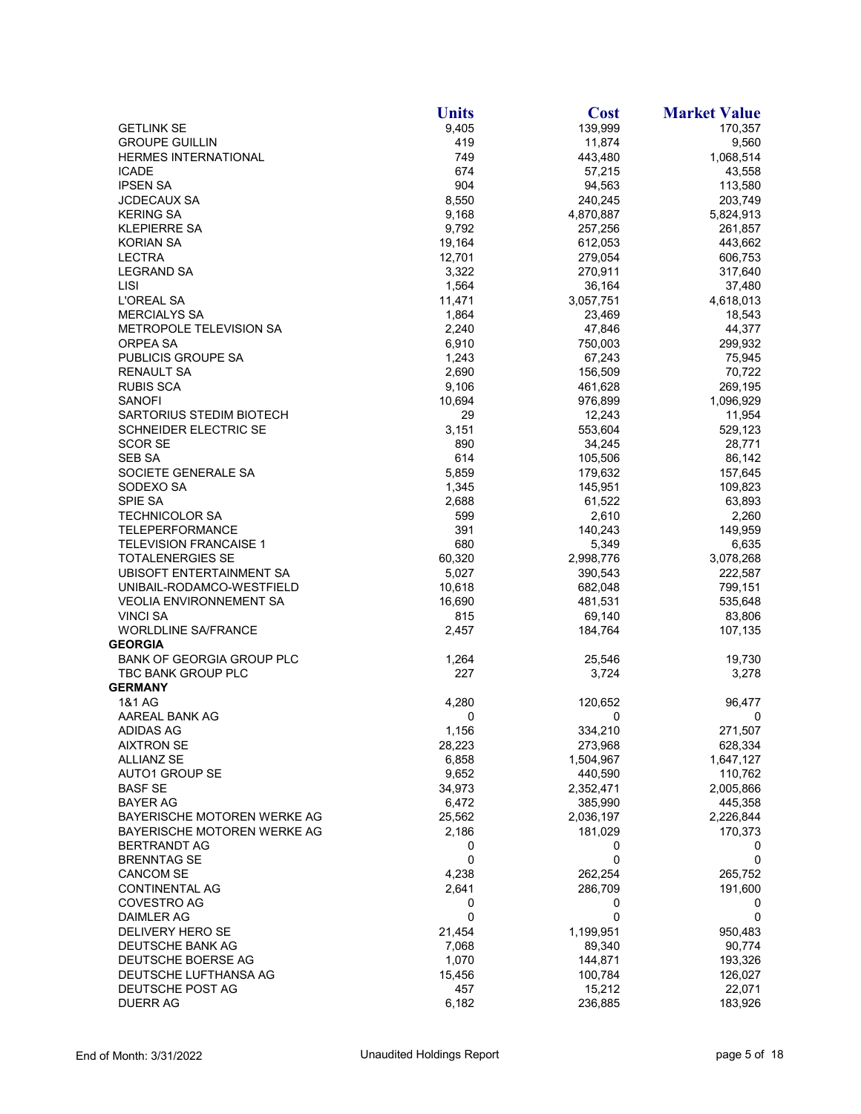|                                   | <b>Units</b>     | <b>Cost</b>        | <b>Market Value</b> |
|-----------------------------------|------------------|--------------------|---------------------|
| <b>GETLINK SE</b>                 | 9,405            | 139,999            | 170,357             |
| <b>GROUPE GUILLIN</b>             | 419              | 11,874             | 9,560               |
| <b>HERMES INTERNATIONAL</b>       | 749              | 443,480            | 1,068,514           |
| <b>ICADE</b>                      | 674              | 57,215             | 43,558              |
| <b>IPSEN SA</b>                   | 904              | 94,563             | 113,580             |
| <b>JCDECAUX SA</b>                | 8,550            | 240,245            | 203,749             |
| <b>KERING SA</b>                  | 9,168            | 4,870,887          | 5,824,913           |
| <b>KLEPIERRE SA</b>               | 9,792            | 257,256            | 261,857             |
| <b>KORIAN SA</b><br><b>LECTRA</b> | 19,164<br>12,701 | 612,053<br>279,054 | 443,662<br>606,753  |
| <b>LEGRAND SA</b>                 | 3,322            | 270,911            | 317,640             |
| <b>LISI</b>                       | 1,564            | 36,164             | 37,480              |
| L'OREAL SA                        | 11,471           | 3,057,751          | 4,618,013           |
| <b>MERCIALYS SA</b>               | 1,864            | 23,469             | 18,543              |
| METROPOLE TELEVISION SA           | 2,240            | 47,846             | 44,377              |
| ORPEA SA                          | 6,910            | 750,003            | 299,932             |
| PUBLICIS GROUPE SA                | 1,243            | 67,243             | 75,945              |
| RENAULT SA                        | 2,690            | 156,509            | 70,722              |
| RUBIS SCA                         | 9,106            | 461,628            | 269,195             |
| <b>SANOFI</b>                     | 10,694           | 976,899            | 1,096,929           |
| SARTORIUS STEDIM BIOTECH          | 29               | 12,243             | 11,954              |
| SCHNEIDER ELECTRIC SE             | 3,151            | 553,604            | 529,123             |
| <b>SCOR SE</b>                    | 890              | 34,245             | 28,771              |
| <b>SEB SA</b>                     | 614              | 105,506            | 86,142              |
| SOCIETE GENERALE SA               | 5,859            | 179,632            | 157,645             |
| SODEXO SA                         | 1,345            | 145,951            | 109,823             |
| SPIE SA                           | 2,688            | 61,522             | 63,893              |
| <b>TECHNICOLOR SA</b>             | 599              | 2,610              | 2,260               |
| TELEPERFORMANCE                   | 391              | 140,243            | 149,959             |
| <b>TELEVISION FRANCAISE 1</b>     | 680              | 5,349              | 6,635               |
| <b>TOTALENERGIES SE</b>           | 60,320           | 2,998,776          | 3,078,268           |
| UBISOFT ENTERTAINMENT SA          | 5,027            | 390,543            | 222,587             |
| UNIBAIL-RODAMCO-WESTFIELD         | 10,618           | 682,048            | 799,151             |
| <b>VEOLIA ENVIRONNEMENT SA</b>    | 16,690           | 481,531            | 535,648             |
| <b>VINCI SA</b>                   | 815              | 69,140             | 83,806              |
| <b>WORLDLINE SA/FRANCE</b>        | 2,457            | 184,764            | 107,135             |
| <b>GEORGIA</b>                    |                  |                    |                     |
| BANK OF GEORGIA GROUP PLC         | 1,264            | 25,546             | 19,730              |
| TBC BANK GROUP PLC                | 227              | 3,724              | 3,278               |
| <b>GERMANY</b>                    |                  |                    |                     |
| 1&1 AG<br>AAREAL BANK AG          | 4,280<br>0       | 120,652<br>0       | 96,477<br>0         |
| <b>ADIDAS AG</b>                  | 1,156            | 334,210            | 271,507             |
| <b>AIXTRON SE</b>                 | 28,223           | 273,968            | 628,334             |
| <b>ALLIANZ SE</b>                 | 6,858            | 1,504,967          | 1,647,127           |
| <b>AUTO1 GROUP SE</b>             | 9,652            | 440,590            | 110,762             |
| <b>BASF SE</b>                    | 34,973           | 2,352,471          | 2,005,866           |
| <b>BAYER AG</b>                   | 6,472            | 385,990            | 445,358             |
| BAYERISCHE MOTOREN WERKE AG       | 25,562           | 2,036,197          | 2,226,844           |
| BAYERISCHE MOTOREN WERKE AG       | 2,186            | 181,029            | 170,373             |
| <b>BERTRANDT AG</b>               | 0                | 0                  | 0                   |
| <b>BRENNTAG SE</b>                | 0                | 0                  | 0                   |
| <b>CANCOM SE</b>                  | 4,238            | 262,254            | 265,752             |
| <b>CONTINENTAL AG</b>             | 2,641            | 286,709            | 191,600             |
| COVESTRO AG                       | 0                | 0                  | 0                   |
| <b>DAIMLER AG</b>                 | 0                | 0                  | 0                   |
| DELIVERY HERO SE                  | 21,454           | 1,199,951          | 950,483             |
| DEUTSCHE BANK AG                  | 7,068            | 89,340             | 90,774              |
| DEUTSCHE BOERSE AG                | 1,070            | 144,871            | 193,326             |
| DEUTSCHE LUFTHANSA AG             | 15,456           | 100,784            | 126,027             |
| DEUTSCHE POST AG                  | 457              | 15,212             | 22,071              |
| <b>DUERR AG</b>                   | 6,182            | 236,885            | 183,926             |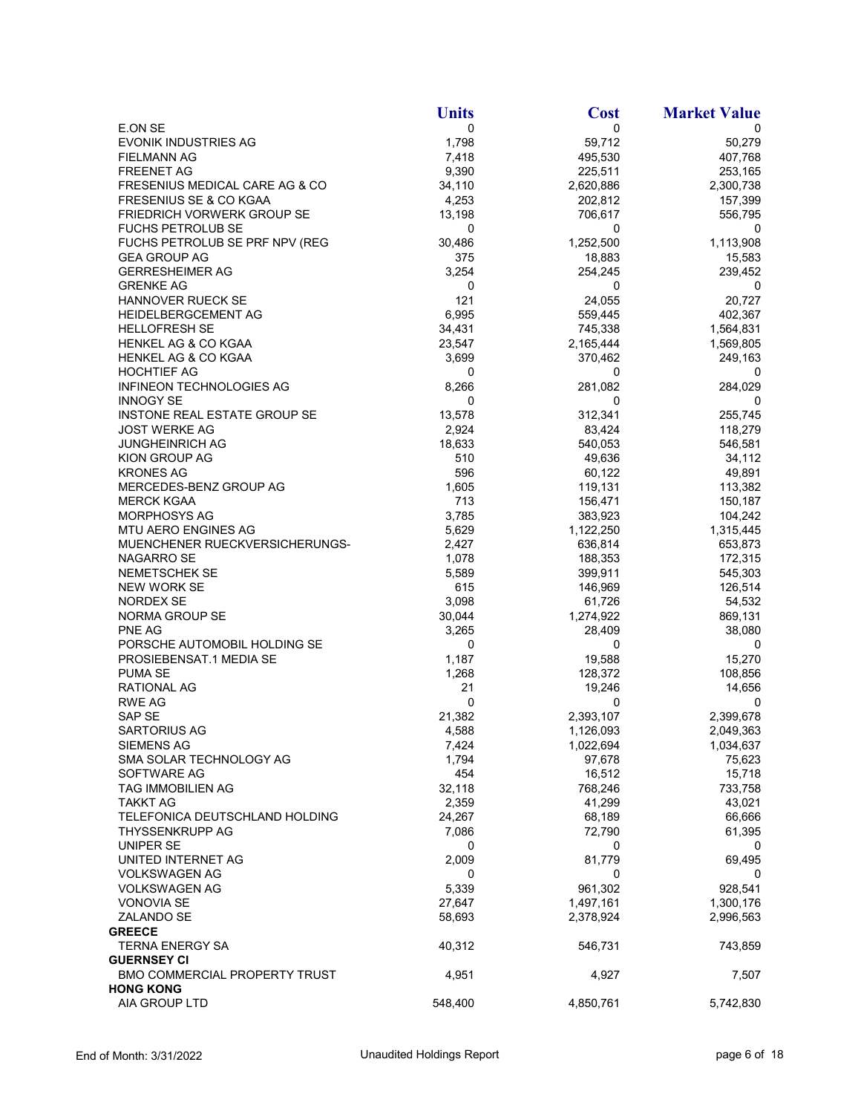|                                 | <b>Units</b> | <b>Cost</b>       | <b>Market Value</b> |
|---------------------------------|--------------|-------------------|---------------------|
| E.ON SE                         | 0            | 0                 | 0                   |
| <b>EVONIK INDUSTRIES AG</b>     | 1,798        | 59,712            | 50,279              |
| <b>FIELMANN AG</b>              | 7,418        | 495,530           | 407,768             |
| <b>FREENET AG</b>               | 9,390        | 225,511           | 253,165             |
| FRESENIUS MEDICAL CARE AG & CO  | 34,110       | 2,620,886         | 2,300,738           |
| FRESENIUS SE & CO KGAA          | 4,253        | 202,812           | 157,399             |
| FRIEDRICH VORWERK GROUP SE      | 13,198       | 706,617           | 556,795             |
| <b>FUCHS PETROLUB SE</b>        | $\mathbf 0$  | 0                 | 0                   |
| FUCHS PETROLUB SE PRF NPV (REG  | 30,486       | 1,252,500         | 1,113,908           |
| <b>GEA GROUP AG</b>             | 375          | 18,883            | 15,583              |
| <b>GERRESHEIMER AG</b>          | 3,254        | 254,245           | 239,452             |
| <b>GRENKE AG</b>                | 0            | 0                 | 0                   |
| <b>HANNOVER RUECK SE</b>        | 121          | 24,055            | 20,727              |
| HEIDELBERGCEMENT AG             | 6,995        | 559,445           | 402,367             |
| <b>HELLOFRESH SE</b>            | 34,431       | 745,338           | 1,564,831           |
| HENKEL AG & CO KGAA             | 23,547       | 2,165,444         | 1,569,805           |
| HENKEL AG & CO KGAA             | 3,699        | 370,462           | 249,163             |
| <b>HOCHTIEF AG</b>              | 0            | 0                 | 0                   |
| <b>INFINEON TECHNOLOGIES AG</b> | 8,266        | 281,082           | 284,029             |
| <b>INNOGY SE</b>                | 0            | 0                 | 0                   |
| INSTONE REAL ESTATE GROUP SE    | 13,578       | 312,341           | 255,745             |
| <b>JOST WERKE AG</b>            | 2,924        | 83,424            | 118,279             |
| <b>JUNGHEINRICH AG</b>          | 18,633       | 540,053           | 546,581             |
| KION GROUP AG                   | 510          | 49,636            | 34,112              |
|                                 | 596          |                   |                     |
| <b>KRONES AG</b>                |              | 60,122<br>119,131 | 49,891<br>113,382   |
| MERCEDES-BENZ GROUP AG          | 1,605        |                   |                     |
| <b>MERCK KGAA</b>               | 713          | 156,471           | 150,187             |
| MORPHOSYS AG                    | 3,785        | 383,923           | 104,242             |
| MTU AERO ENGINES AG             | 5,629        | 1,122,250         | 1,315,445           |
| MUENCHENER RUECKVERSICHERUNGS-  | 2,427        | 636,814           | 653,873             |
| NAGARRO SE                      | 1,078        | 188,353           | 172,315             |
| NEMETSCHEK SE                   | 5,589        | 399,911           | 545,303             |
| <b>NEW WORK SE</b>              | 615          | 146,969           | 126,514             |
| <b>NORDEX SE</b>                | 3,098        | 61,726            | 54,532              |
| NORMA GROUP SE                  | 30,044       | 1,274,922         | 869,131             |
| PNE AG                          | 3,265        | 28,409            | 38,080              |
| PORSCHE AUTOMOBIL HOLDING SE    | 0            | 0                 | 0                   |
| PROSIEBENSAT.1 MEDIA SE         | 1,187        | 19,588            | 15,270              |
| PUMA SE                         | 1,268        | 128,372           | 108,856             |
| <b>RATIONAL AG</b>              | 21           | 19,246            | 14,656              |
| <b>RWE AG</b>                   | 0            | 0                 | 0                   |
| SAP SE                          | 21,382       | 2,393,107         | 2,399,678           |
| <b>SARTORIUS AG</b>             | 4,588        | 1,126,093         | 2,049,363           |
| <b>SIEMENS AG</b>               | 7,424        | 1,022,694         | 1,034,637           |
| SMA SOLAR TECHNOLOGY AG         | 1,794        | 97,678            | 75,623              |
| SOFTWARE AG                     | 454          | 16,512            | 15,718              |
| TAG IMMOBILIEN AG               | 32,118       | 768,246           | 733,758             |
| <b>TAKKT AG</b>                 | 2,359        | 41,299            | 43,021              |
| TELEFONICA DEUTSCHLAND HOLDING  | 24,267       | 68,189            | 66,666              |
| THYSSENKRUPP AG                 | 7,086        | 72,790            | 61,395              |
| UNIPER SE                       | 0            | 0                 | 0                   |
| UNITED INTERNET AG              | 2,009        | 81,779            | 69,495              |
| <b>VOLKSWAGEN AG</b>            | 0            | 0                 | 0                   |
| <b>VOLKSWAGEN AG</b>            | 5,339        | 961,302           | 928,541             |
| <b>VONOVIA SE</b>               | 27,647       | 1,497,161         | 1,300,176           |
| ZALANDO SE                      | 58,693       | 2,378,924         | 2,996,563           |
| <b>GREECE</b>                   |              |                   |                     |
| <b>TERNA ENERGY SA</b>          | 40,312       | 546,731           | 743,859             |
| <b>GUERNSEY CI</b>              |              |                   |                     |
| BMO COMMERCIAL PROPERTY TRUST   | 4,951        | 4,927             | 7,507               |
| <b>HONG KONG</b>                |              |                   |                     |
| AIA GROUP LTD                   | 548,400      | 4,850,761         | 5,742,830           |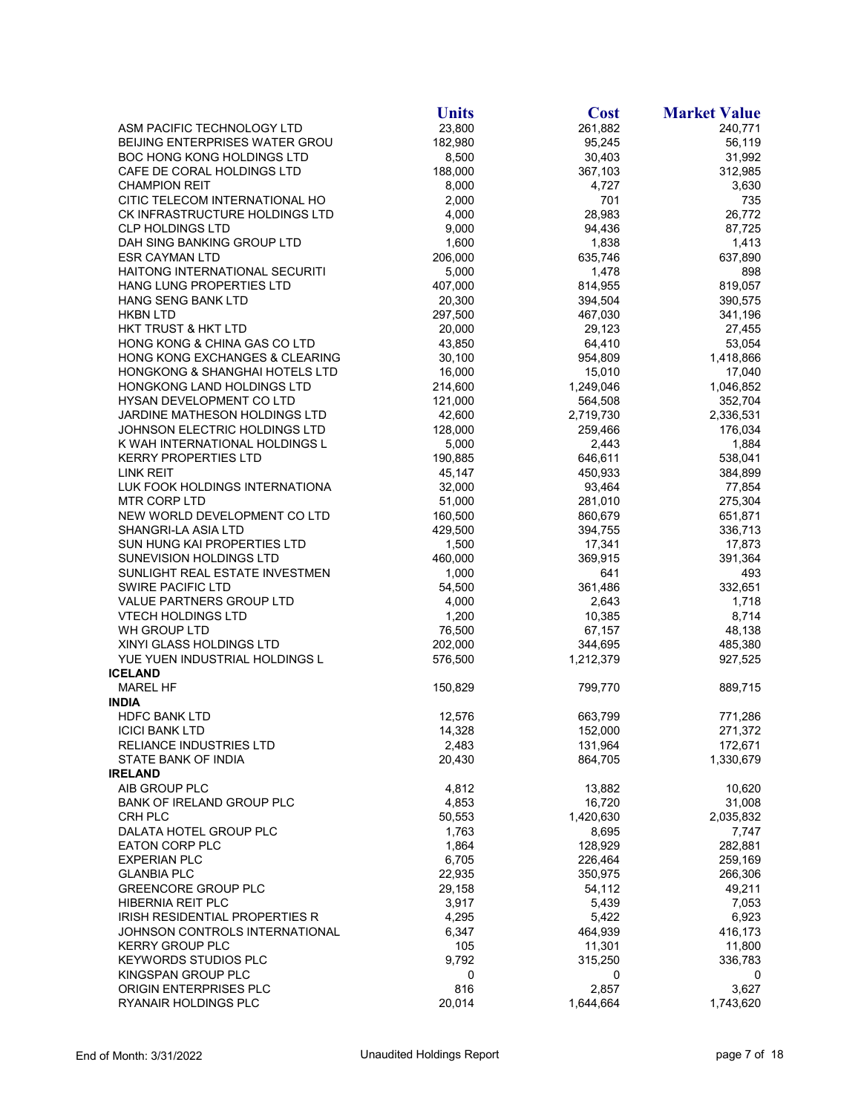|                                           | <b>Units</b> | <b>Cost</b> | <b>Market Value</b> |
|-------------------------------------------|--------------|-------------|---------------------|
| ASM PACIFIC TECHNOLOGY LTD                | 23,800       | 261,882     | 240,771             |
| BEIJING ENTERPRISES WATER GROU            | 182,980      | 95,245      | 56,119              |
| BOC HONG KONG HOLDINGS LTD                | 8,500        | 30,403      | 31,992              |
| CAFE DE CORAL HOLDINGS LTD                | 188,000      | 367,103     | 312,985             |
| <b>CHAMPION REIT</b>                      | 8,000        | 4,727       | 3,630               |
| CITIC TELECOM INTERNATIONAL HO            | 2,000        | 701         | 735                 |
| CK INFRASTRUCTURE HOLDINGS LTD            | 4,000        | 28,983      | 26,772              |
| <b>CLP HOLDINGS LTD</b>                   | 9,000        | 94,436      | 87,725              |
| DAH SING BANKING GROUP LTD                | 1,600        | 1,838       | 1,413               |
| <b>ESR CAYMAN LTD</b>                     | 206,000      | 635,746     | 637,890             |
| HAITONG INTERNATIONAL SECURITI            | 5,000        | 1,478       | 898                 |
| <b>HANG LUNG PROPERTIES LTD</b>           | 407,000      | 814,955     | 819,057             |
| HANG SENG BANK LTD                        | 20,300       | 394,504     | 390,575             |
| <b>HKBN LTD</b>                           | 297,500      | 467,030     | 341,196             |
| <b>HKT TRUST &amp; HKT LTD</b>            | 20,000       | 29,123      | 27,455              |
| HONG KONG & CHINA GAS CO LTD              | 43,850       | 64,410      | 53,054              |
| HONG KONG EXCHANGES & CLEARING            | 30,100       | 954,809     | 1,418,866           |
| <b>HONGKONG &amp; SHANGHAI HOTELS LTD</b> | 16,000       | 15,010      | 17,040              |
| HONGKONG LAND HOLDINGS LTD                | 214,600      | 1,249,046   | 1,046,852           |
| HYSAN DEVELOPMENT CO LTD                  | 121,000      | 564,508     | 352,704             |
| JARDINE MATHESON HOLDINGS LTD             | 42,600       | 2,719,730   | 2,336,531           |
| JOHNSON ELECTRIC HOLDINGS LTD             | 128,000      | 259,466     | 176,034             |
| K WAH INTERNATIONAL HOLDINGS L            | 5,000        | 2,443       | 1,884               |
| <b>KERRY PROPERTIES LTD</b>               | 190,885      | 646,611     | 538,041             |
| LINK REIT                                 | 45.147       | 450,933     | 384,899             |
| LUK FOOK HOLDINGS INTERNATIONA            | 32,000       | 93,464      | 77,854              |
| <b>MTR CORP LTD</b>                       | 51,000       | 281,010     | 275,304             |
| NEW WORLD DEVELOPMENT CO LTD              | 160,500      | 860,679     | 651,871             |
| SHANGRI-LA ASIA LTD                       | 429,500      | 394,755     | 336,713             |
| SUN HUNG KAI PROPERTIES LTD               | 1,500        | 17,341      | 17,873              |
| SUNEVISION HOLDINGS LTD                   | 460,000      | 369,915     | 391,364             |
| SUNLIGHT REAL ESTATE INVESTMEN            | 1,000        | 641         | 493                 |
| <b>SWIRE PACIFIC LTD</b>                  | 54,500       | 361,486     | 332,651             |
| VALUE PARTNERS GROUP LTD                  | 4,000        | 2,643       | 1,718               |
| <b>VTECH HOLDINGS LTD</b>                 | 1,200        | 10,385      | 8,714               |
| WH GROUP LTD                              | 76,500       | 67,157      | 48,138              |
| XINYI GLASS HOLDINGS LTD                  | 202,000      | 344,695     | 485,380             |
| YUE YUEN INDUSTRIAL HOLDINGS L            | 576,500      | 1,212,379   | 927,525             |
| <b>ICELAND</b>                            |              |             |                     |
| <b>MAREL HF</b>                           | 150,829      | 799,770     | 889,715             |
| <b>INDIA</b>                              |              |             |                     |
| <b>HDFC BANK LTD</b>                      | 12,576       | 663,799     | 771,286             |
| <b>ICICI BANK LTD</b>                     | 14,328       | 152,000     | 271,372             |
| <b>RELIANCE INDUSTRIES LTD</b>            | 2,483        | 131,964     | 172,671             |
| STATE BANK OF INDIA                       | 20,430       | 864,705     | 1,330,679           |
| <b>IRELAND</b>                            |              |             |                     |
| AIB GROUP PLC                             | 4,812        | 13,882      | 10,620              |
| BANK OF IRELAND GROUP PLC                 | 4,853        | 16,720      | 31,008              |
| CRH PLC                                   | 50,553       | 1,420,630   | 2,035,832           |
| DALATA HOTEL GROUP PLC                    | 1,763        | 8,695       | 7,747               |
| <b>EATON CORP PLC</b>                     | 1,864        | 128,929     | 282,881             |
| <b>EXPERIAN PLC</b>                       | 6,705        | 226,464     | 259,169             |
| <b>GLANBIA PLC</b>                        | 22,935       | 350,975     | 266,306             |
| <b>GREENCORE GROUP PLC</b>                | 29,158       | 54,112      | 49,211              |
| HIBERNIA REIT PLC                         | 3,917        | 5,439       | 7,053               |
| <b>IRISH RESIDENTIAL PROPERTIES R</b>     | 4,295        | 5,422       | 6,923               |
| JOHNSON CONTROLS INTERNATIONAL            | 6,347        | 464,939     | 416,173             |
| <b>KERRY GROUP PLC</b>                    | 105          | 11,301      | 11,800              |
| <b>KEYWORDS STUDIOS PLC</b>               | 9,792        | 315,250     | 336,783             |
| KINGSPAN GROUP PLC                        | 0            | 0           | 0                   |
| ORIGIN ENTERPRISES PLC                    | 816          | 2,857       | 3,627               |
| RYANAIR HOLDINGS PLC                      | 20,014       | 1,644,664   | 1,743,620           |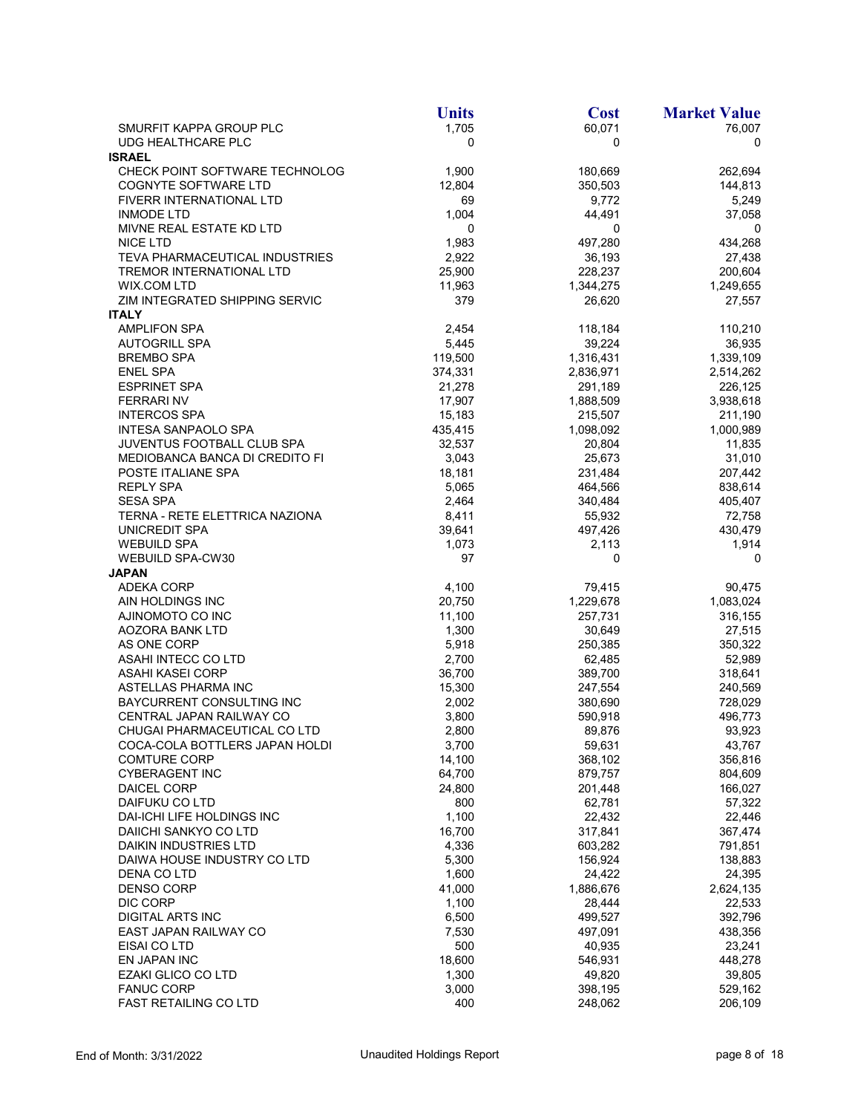|                                                   | <b>Units</b>    | <b>Cost</b>        | <b>Market Value</b> |
|---------------------------------------------------|-----------------|--------------------|---------------------|
| SMURFIT KAPPA GROUP PLC                           | 1,705           | 60,071             | 76,007              |
| UDG HEALTHCARE PLC                                | 0               | 0                  | 0                   |
| <b>ISRAEL</b>                                     |                 |                    |                     |
| CHECK POINT SOFTWARE TECHNOLOG                    | 1,900           | 180,669            | 262,694             |
| <b>COGNYTE SOFTWARE LTD</b>                       | 12,804          | 350,503            | 144,813             |
| FIVERR INTERNATIONAL LTD                          | 69              | 9,772              | 5,249               |
| <b>INMODE LTD</b>                                 | 1,004           | 44,491             | 37,058              |
| MIVNE REAL ESTATE KD LTD                          | 0               | 0                  | 0                   |
| <b>NICE LTD</b><br>TEVA PHARMACEUTICAL INDUSTRIES | 1,983<br>2,922  | 497,280<br>36,193  | 434,268<br>27,438   |
| <b>TREMOR INTERNATIONAL LTD</b>                   | 25,900          | 228,237            | 200,604             |
| <b>WIX.COM LTD</b>                                | 11,963          | 1,344,275          | 1,249,655           |
| ZIM INTEGRATED SHIPPING SERVIC                    | 379             | 26,620             | 27,557              |
| <b>ITALY</b>                                      |                 |                    |                     |
| <b>AMPLIFON SPA</b>                               | 2,454           | 118,184            | 110,210             |
| <b>AUTOGRILL SPA</b>                              | 5,445           | 39,224             | 36,935              |
| <b>BREMBO SPA</b>                                 | 119,500         | 1,316,431          | 1,339,109           |
| <b>ENEL SPA</b>                                   | 374,331         | 2,836,971          | 2,514,262           |
| <b>ESPRINET SPA</b>                               | 21,278          | 291,189            | 226,125             |
| <b>FERRARINV</b>                                  | 17,907          | 1,888,509          | 3,938,618           |
| <b>INTERCOS SPA</b>                               | 15,183          | 215,507            | 211,190             |
| INTESA SANPAOLO SPA                               | 435,415         | 1,098,092          | 1,000,989           |
| <b>JUVENTUS FOOTBALL CLUB SPA</b>                 | 32,537          | 20,804             | 11,835              |
| <b>MEDIOBANCA BANCA DI CREDITO FI</b>             | 3,043           | 25,673             | 31,010              |
| POSTE ITALIANE SPA                                | 18,181          | 231,484            | 207,442             |
| <b>REPLY SPA</b>                                  | 5,065           | 464,566            | 838,614             |
| <b>SESA SPA</b>                                   | 2,464           | 340,484            | 405,407             |
| TERNA - RETE ELETTRICA NAZIONA                    | 8,411           | 55,932             | 72,758              |
| UNICREDIT SPA                                     | 39,641          | 497,426            | 430,479             |
| <b>WEBUILD SPA</b>                                | 1,073           | 2,113              | 1,914               |
| <b>WEBUILD SPA-CW30</b>                           | 97              | 0                  | 0                   |
| <b>JAPAN</b>                                      |                 |                    |                     |
| <b>ADEKA CORP</b>                                 | 4,100           | 79,415             | 90,475              |
| AIN HOLDINGS INC                                  | 20,750          | 1,229,678          | 1,083,024           |
| AJINOMOTO CO INC                                  | 11,100          | 257,731            | 316,155             |
| AOZORA BANK LTD                                   | 1,300           | 30,649             | 27,515              |
| AS ONE CORP                                       | 5,918           | 250,385            | 350,322             |
| ASAHI INTECC CO LTD<br>ASAHI KASEI CORP           | 2,700<br>36,700 | 62,485             | 52,989              |
| ASTELLAS PHARMA INC                               | 15,300          | 389,700<br>247,554 | 318,641<br>240,569  |
| BAYCURRENT CONSULTING INC                         | 2,002           | 380,690            | 728,029             |
| CENTRAL JAPAN RAILWAY CO                          | 3,800           | 590,918            | 496,773             |
| CHUGAI PHARMACEUTICAL CO LTD                      | 2,800           | 89,876             | 93,923              |
| COCA-COLA BOTTLERS JAPAN HOLDI                    | 3,700           | 59,631             | 43,767              |
| <b>COMTURE CORP</b>                               | 14,100          | 368,102            | 356,816             |
| <b>CYBERAGENT INC</b>                             | 64,700          | 879,757            | 804,609             |
| <b>DAICEL CORP</b>                                | 24,800          | 201,448            | 166,027             |
| DAIFUKU CO LTD                                    | 800             | 62,781             | 57,322              |
| DAI-ICHI LIFE HOLDINGS INC                        | 1,100           | 22,432             | 22,446              |
| DAIICHI SANKYO CO LTD                             | 16,700          | 317,841            | 367,474             |
| DAIKIN INDUSTRIES LTD                             | 4,336           | 603,282            | 791,851             |
| DAIWA HOUSE INDUSTRY CO LTD                       | 5,300           | 156,924            | 138,883             |
| DENA CO LTD                                       | 1,600           | 24,422             | 24,395              |
| <b>DENSO CORP</b>                                 | 41,000          | 1,886,676          | 2,624,135           |
| DIC CORP                                          | 1,100           | 28,444             | 22,533              |
| <b>DIGITAL ARTS INC</b>                           | 6,500           | 499,527            | 392,796             |
| EAST JAPAN RAILWAY CO                             | 7,530           | 497,091            | 438,356             |
| EISAI CO LTD                                      | 500             | 40,935             | 23,241              |
| EN JAPAN INC                                      | 18,600          | 546,931            | 448,278             |
| <b>EZAKI GLICO CO LTD</b>                         | 1,300           | 49,820             | 39,805              |
| <b>FANUC CORP</b>                                 | 3,000           | 398,195            | 529,162             |
| <b>FAST RETAILING CO LTD</b>                      | 400             | 248,062            | 206,109             |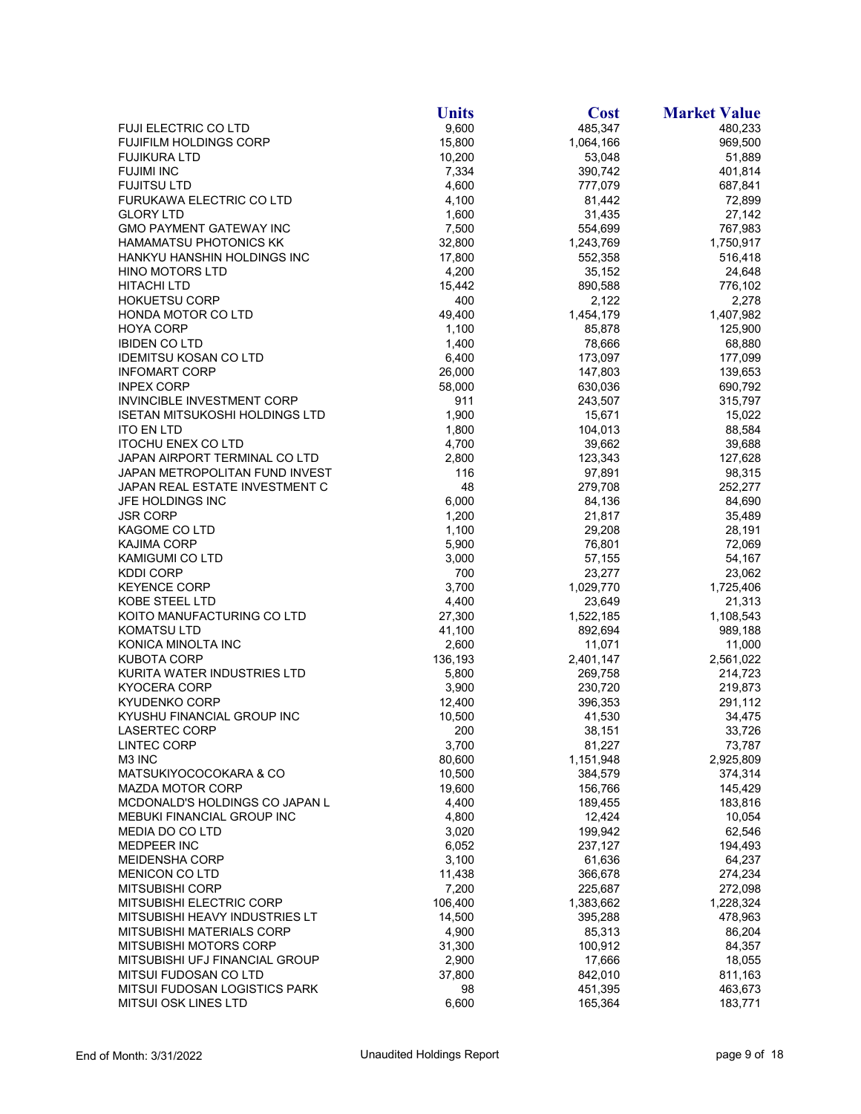|                                       | <b>Units</b>    | <b>Cost</b> | <b>Market Value</b>  |
|---------------------------------------|-----------------|-------------|----------------------|
| FUJI ELECTRIC CO LTD                  | 9,600           | 485,347     | 480,233              |
| <b>FUJIFILM HOLDINGS CORP</b>         | 15,800          | 1,064,166   | 969,500              |
| <b>FUJIKURA LTD</b>                   | 10,200          | 53,048      | 51,889               |
| <b>FUJIMI INC</b>                     | 7,334           | 390,742     | 401,814              |
| <b>FUJITSU LTD</b>                    | 4,600           | 777,079     | 687,841              |
| FURUKAWA ELECTRIC CO LTD              | 4,100           | 81,442      | 72,899               |
| <b>GLORY LTD</b>                      | 1,600           | 31,435      | 27,142               |
| <b>GMO PAYMENT GATEWAY INC</b>        | 7,500           | 554,699     | 767,983              |
| <b>HAMAMATSU PHOTONICS KK</b>         | 32,800          | 1,243,769   | 1,750,917            |
| HANKYU HANSHIN HOLDINGS INC           | 17,800          | 552,358     | 516,418              |
| <b>HINO MOTORS LTD</b>                | 4,200           | 35,152      | 24,648               |
| <b>HITACHI LTD</b>                    | 15,442          | 890,588     | 776,102              |
| <b>HOKUETSU CORP</b>                  | 400             | 2,122       | 2,278                |
| <b>HONDA MOTOR CO LTD</b>             | 49,400          | 1,454,179   | 1,407,982            |
| <b>HOYA CORP</b>                      | 1,100           | 85,878      | 125,900              |
| <b>IBIDEN CO LTD</b>                  | 1,400           | 78,666      | 68,880               |
| <b>IDEMITSU KOSAN CO LTD</b>          | 6,400           | 173,097     | 177,099              |
| <b>INFOMART CORP</b>                  | 26,000          | 147,803     | 139,653              |
| <b>INPEX CORP</b>                     | 58,000          | 630,036     | 690,792              |
| <b>INVINCIBLE INVESTMENT CORP</b>     | 911             | 243,507     | 315,797              |
| <b>ISETAN MITSUKOSHI HOLDINGS LTD</b> | 1,900           | 15,671      | 15,022               |
| <b>ITO EN LTD</b>                     | 1,800           | 104,013     | 88,584               |
| <b>ITOCHU ENEX CO LTD</b>             | 4,700           | 39,662      | 39,688               |
| JAPAN AIRPORT TERMINAL CO LTD         | 2,800           | 123,343     | 127,628              |
| JAPAN METROPOLITAN FUND INVEST        | 116             | 97,891      | 98,315               |
| JAPAN REAL ESTATE INVESTMENT C        | 48              | 279,708     | 252,277              |
| JFE HOLDINGS INC                      | 6,000           | 84,136      | 84,690               |
| <b>JSR CORP</b>                       | 1,200           | 21,817      | 35,489               |
| KAGOME CO LTD                         | 1,100           | 29,208      | 28,191               |
| <b>KAJIMA CORP</b>                    | 5,900           | 76,801      | 72,069               |
| <b>KAMIGUMI CO LTD</b>                | 3,000           | 57,155      | 54,167               |
| <b>KDDI CORP</b>                      | 700             | 23,277      | 23,062               |
| <b>KEYENCE CORP</b>                   | 3,700           | 1,029,770   | 1,725,406            |
| KOBE STEEL LTD                        | 4,400           | 23,649      | 21,313               |
| KOITO MANUFACTURING CO LTD            | 27,300          | 1,522,185   | 1,108,543            |
| <b>KOMATSU LTD</b>                    | 41,100          | 892,694     | 989,188              |
| KONICA MINOLTA INC                    | 2,600           | 11,071      | 11,000               |
| <b>KUBOTA CORP</b>                    | 136,193         | 2,401,147   | 2,561,022            |
| KURITA WATER INDUSTRIES LTD           | 5,800           | 269,758     | 214,723              |
| <b>KYOCERA CORP</b>                   | 3,900           | 230,720     | 219,873              |
| <b>KYUDENKO CORP</b>                  | 12,400          | 396,353     | 291,112              |
| KYUSHU FINANCIAL GROUP INC            | 10,500          | 41,530      | 34,475               |
| LASERTEC CORP                         | 200             | 38,151      | 33,726               |
| <b>LINTEC CORP</b>                    | 3,700           | 81,227      | 73,787               |
| M3 INC                                | 80,600          | 1,151,948   | 2,925,809            |
| MATSUKIYOCOCOKARA & CO                | 10,500          | 384,579     | 374,314              |
| <b>MAZDA MOTOR CORP</b>               | 19,600          | 156,766     | 145,429              |
| MCDONALD'S HOLDINGS CO JAPAN L        | 4,400           | 189,455     | 183,816              |
| <b>MEBUKI FINANCIAL GROUP INC</b>     | 4,800           | 12,424      | 10,054               |
| <b>MEDIA DO CO LTD</b>                | 3,020           | 199,942     | 62,546               |
| MEDPEER INC                           | 6,052           | 237,127     | 194,493              |
| <b>MEIDENSHA CORP</b>                 | 3,100           | 61,636      | 64,237               |
| <b>MENICON CO LTD</b>                 |                 | 366,678     |                      |
| <b>MITSUBISHI CORP</b>                | 11,438<br>7,200 | 225,687     | 274,234              |
| <b>MITSUBISHI ELECTRIC CORP</b>       | 106,400         | 1,383,662   | 272,098<br>1,228,324 |
|                                       |                 |             |                      |
| MITSUBISHI HEAVY INDUSTRIES LT        | 14,500          | 395,288     | 478,963              |
| <b>MITSUBISHI MATERIALS CORP</b>      | 4,900           | 85,313      | 86,204               |
| MITSUBISHI MOTORS CORP                | 31,300          | 100,912     | 84,357               |
| MITSUBISHI UFJ FINANCIAL GROUP        | 2,900           | 17,666      | 18,055               |
| MITSUI FUDOSAN CO LTD                 | 37,800          | 842,010     | 811,163              |
| <b>MITSUI FUDOSAN LOGISTICS PARK</b>  | 98              | 451,395     | 463,673              |
| <b>MITSUI OSK LINES LTD</b>           | 6,600           | 165,364     | 183,771              |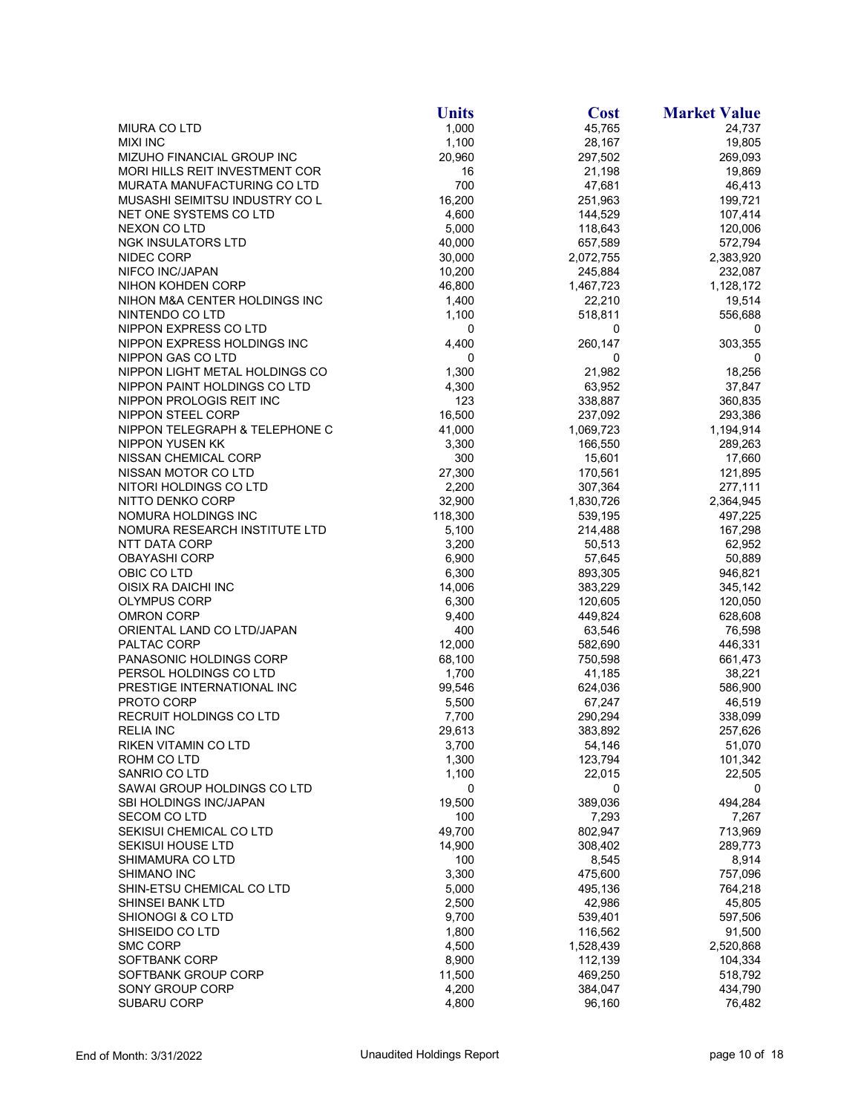|                                          | <b>Units</b>   | <b>Cost</b>        | <b>Market Value</b> |
|------------------------------------------|----------------|--------------------|---------------------|
| <b>MIURA CO LTD</b>                      | 1,000          | 45,765             | 24,737              |
| <b>MIXI INC</b>                          | 1,100          | 28,167             | 19,805              |
| MIZUHO FINANCIAL GROUP INC               | 20,960         | 297,502            | 269,093             |
| <b>MORI HILLS REIT INVESTMENT COR</b>    | 16             | 21,198             | 19,869              |
| MURATA MANUFACTURING CO LTD              | 700            | 47,681             | 46,413              |
| MUSASHI SEIMITSU INDUSTRY CO L           | 16,200         | 251,963            | 199,721             |
| NET ONE SYSTEMS CO LTD                   | 4,600          | 144,529            | 107,414             |
| <b>NEXON CO LTD</b>                      | 5,000          | 118,643            | 120,006             |
| NGK INSULATORS LTD                       | 40,000         | 657,589            | 572,794             |
| NIDEC CORP                               | 30,000         | 2,072,755          | 2,383,920           |
| NIFCO INC/JAPAN                          | 10,200         | 245,884            | 232,087             |
| NIHON KOHDEN CORP                        | 46,800         | 1,467,723          | 1,128,172           |
| NIHON M&A CENTER HOLDINGS INC            | 1,400          | 22,210             | 19,514              |
| NINTENDO CO LTD                          | 1,100          | 518,811            | 556,688             |
| NIPPON EXPRESS CO LTD                    | 0              | 0                  | 0                   |
| NIPPON EXPRESS HOLDINGS INC              | 4,400          | 260,147            | 303,355             |
| NIPPON GAS CO LTD                        | 0              | 0                  | 0                   |
| NIPPON LIGHT METAL HOLDINGS CO           | 1,300          | 21,982             | 18,256              |
| NIPPON PAINT HOLDINGS CO LTD             | 4,300          | 63,952             | 37,847              |
| NIPPON PROLOGIS REIT INC                 | 123            | 338,887            | 360,835             |
| NIPPON STEEL CORP                        | 16,500         | 237,092            | 293,386             |
| NIPPON TELEGRAPH & TELEPHONE C           | 41,000         | 1,069,723          | 1,194,914           |
| <b>NIPPON YUSEN KK</b>                   | 3,300          | 166,550            | 289,263             |
| NISSAN CHEMICAL CORP                     | 300            | 15,601             | 17,660              |
| NISSAN MOTOR CO LTD                      | 27,300         | 170,561            | 121,895             |
| NITORI HOLDINGS CO LTD                   | 2,200          | 307,364            | 277,111             |
| NITTO DENKO CORP                         | 32,900         | 1,830,726          | 2,364,945           |
| NOMURA HOLDINGS INC                      | 118,300        | 539,195            | 497,225             |
| NOMURA RESEARCH INSTITUTE LTD            | 5,100          | 214,488            | 167,298             |
| NTT DATA CORP                            | 3,200          | 50,513             | 62,952              |
| <b>OBAYASHI CORP</b>                     | 6,900          | 57,645             | 50,889              |
| OBIC CO LTD                              | 6,300          | 893,305            | 946,821             |
| OISIX RA DAICHI INC                      | 14,006         | 383,229            | 345,142             |
| <b>OLYMPUS CORP</b><br><b>OMRON CORP</b> | 6,300<br>9,400 | 120,605<br>449,824 | 120,050<br>628,608  |
| ORIENTAL LAND CO LTD/JAPAN               | 400            | 63,546             | 76,598              |
| PALTAC CORP                              | 12,000         | 582,690            | 446,331             |
| PANASONIC HOLDINGS CORP                  | 68,100         | 750,598            | 661,473             |
| PERSOL HOLDINGS CO LTD                   | 1,700          | 41,185             | 38,221              |
| PRESTIGE INTERNATIONAL INC               | 99,546         | 624,036            | 586,900             |
| PROTO CORP                               | 5,500          | 67,247             | 46,519              |
| <b>RECRUIT HOLDINGS CO LTD</b>           | 7,700          | 290,294            | 338,099             |
| <b>RELIA INC</b>                         | 29,613         | 383,892            | 257,626             |
| RIKEN VITAMIN CO LTD                     | 3,700          | 54,146             | 51,070              |
| ROHM CO LTD                              | 1,300          | 123,794            | 101,342             |
| SANRIO CO LTD                            | 1,100          | 22,015             | 22,505              |
| SAWAI GROUP HOLDINGS CO LTD              | 0              | 0                  | 0                   |
| SBI HOLDINGS INC/JAPAN                   | 19,500         | 389,036            | 494,284             |
| <b>SECOM CO LTD</b>                      | 100            | 7,293              | 7,267               |
| SEKISUI CHEMICAL CO LTD                  | 49,700         | 802,947            | 713,969             |
| SEKISUI HOUSE LTD                        | 14,900         | 308,402            | 289,773             |
| SHIMAMURA CO LTD                         | 100            | 8,545              | 8,914               |
| SHIMANO INC                              | 3,300          | 475,600            | 757,096             |
| SHIN-ETSU CHEMICAL CO LTD                | 5,000          | 495,136            | 764,218             |
| SHINSEI BANK LTD                         | 2,500          | 42,986             | 45,805              |
| SHIONOGI & CO LTD                        | 9,700          | 539,401            | 597,506             |
| SHISEIDO CO LTD                          | 1,800          | 116,562            | 91,500              |
| <b>SMC CORP</b>                          | 4,500          | 1,528,439          | 2,520,868           |
| SOFTBANK CORP                            | 8,900          | 112,139            | 104,334             |
| SOFTBANK GROUP CORP                      | 11,500         | 469,250            | 518,792             |
| SONY GROUP CORP                          | 4,200          | 384,047            | 434,790             |
| SUBARU CORP                              | 4,800          | 96,160             | 76,482              |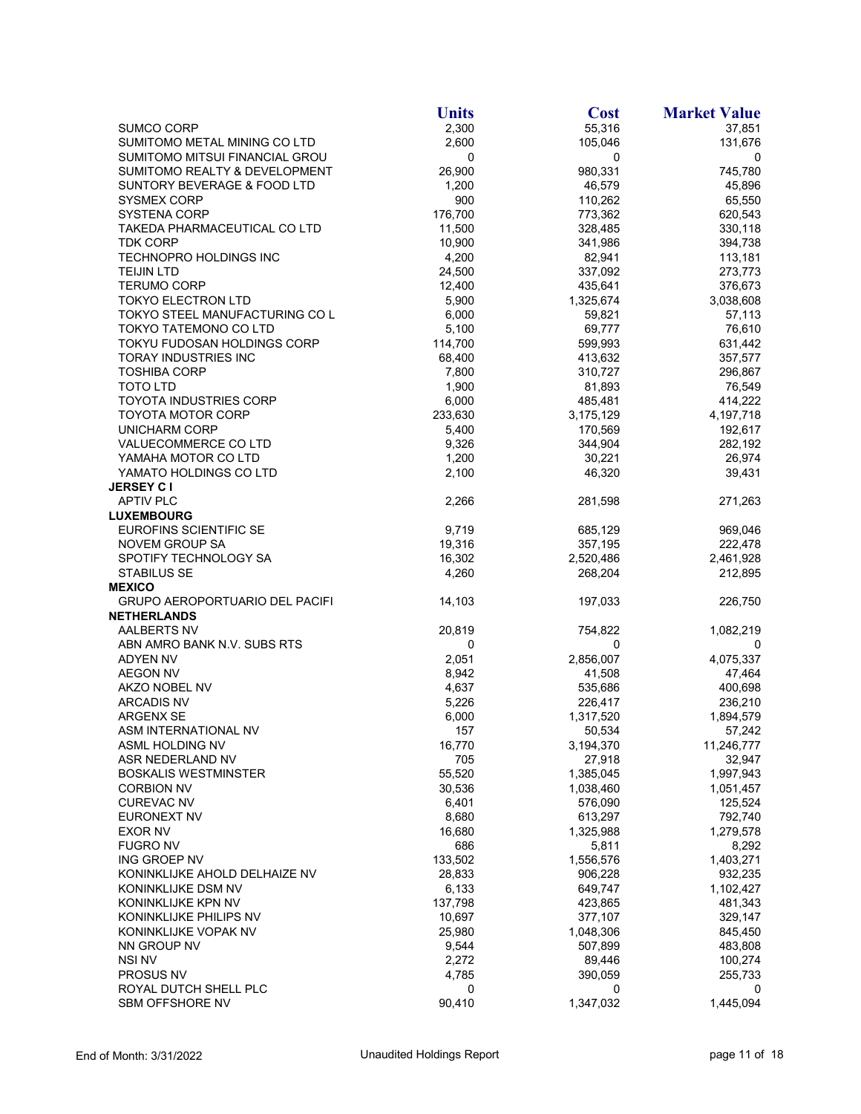|                                       | <b>Units</b> | <b>Cost</b> | <b>Market Value</b> |
|---------------------------------------|--------------|-------------|---------------------|
| <b>SUMCO CORP</b>                     | 2,300        | 55,316      | 37,851              |
| SUMITOMO METAL MINING CO LTD          | 2,600        | 105,046     | 131,676             |
| SUMITOMO MITSUI FINANCIAL GROU        | 0            | 0           | 0                   |
| SUMITOMO REALTY & DEVELOPMENT         | 26,900       | 980,331     | 745,780             |
| SUNTORY BEVERAGE & FOOD LTD           | 1,200        | 46,579      | 45,896              |
| SYSMEX CORP                           | 900          | 110,262     | 65,550              |
| <b>SYSTENA CORP</b>                   | 176,700      | 773,362     | 620,543             |
| TAKEDA PHARMACEUTICAL CO LTD          | 11,500       | 328,485     | 330,118             |
| TDK CORP                              | 10,900       | 341,986     | 394,738             |
| TECHNOPRO HOLDINGS INC                | 4,200        | 82,941      | 113,181             |
| <b>TEIJIN LTD</b>                     | 24,500       | 337,092     | 273,773             |
| <b>TERUMO CORP</b>                    | 12,400       | 435,641     | 376,673             |
| <b>TOKYO ELECTRON LTD</b>             | 5,900        | 1,325,674   | 3,038,608           |
| TOKYO STEEL MANUFACTURING CO L        | 6,000        | 59,821      | 57,113              |
| TOKYO TATEMONO CO LTD                 | 5,100        | 69,777      | 76,610              |
| TOKYU FUDOSAN HOLDINGS CORP           | 114,700      | 599,993     | 631,442             |
| TORAY INDUSTRIES INC                  | 68,400       | 413,632     | 357,577             |
| <b>TOSHIBA CORP</b>                   | 7,800        | 310,727     | 296,867             |
| <b>TOTO LTD</b>                       | 1,900        | 81,893      | 76,549              |
| <b>TOYOTA INDUSTRIES CORP</b>         | 6,000        | 485,481     | 414,222             |
| <b>TOYOTA MOTOR CORP</b>              | 233,630      | 3,175,129   | 4,197,718           |
| <b>UNICHARM CORP</b>                  | 5,400        | 170,569     | 192,617             |
| VALUECOMMERCE CO LTD                  | 9,326        | 344,904     | 282,192             |
| YAMAHA MOTOR CO LTD                   | 1,200        | 30,221      | 26,974              |
| YAMATO HOLDINGS CO LTD                | 2,100        | 46,320      | 39,431              |
| <b>JERSEY C I</b>                     |              |             |                     |
| <b>APTIV PLC</b>                      | 2,266        | 281,598     | 271,263             |
| <b>LUXEMBOURG</b>                     |              |             |                     |
| EUROFINS SCIENTIFIC SE                | 9,719        | 685,129     | 969,046             |
| NOVEM GROUP SA                        | 19,316       | 357,195     | 222,478             |
| SPOTIFY TECHNOLOGY SA                 | 16,302       | 2,520,486   | 2,461,928           |
| STABILUS SE                           | 4,260        | 268,204     | 212,895             |
| <b>MEXICO</b>                         |              |             |                     |
| <b>GRUPO AEROPORTUARIO DEL PACIFI</b> | 14,103       | 197,033     | 226,750             |
| <b>NETHERLANDS</b>                    |              |             |                     |
| AALBERTS NV                           | 20,819       | 754,822     | 1,082,219           |
| ABN AMRO BANK N.V. SUBS RTS           | 0            | 0           | 0                   |
| <b>ADYEN NV</b>                       | 2,051        | 2,856,007   | 4,075,337           |
| <b>AEGON NV</b>                       | 8,942        | 41,508      | 47,464              |
| AKZO NOBEL NV                         | 4,637        | 535,686     | 400,698             |
| <b>ARCADIS NV</b>                     | 5,226        | 226,417     | 236,210             |
| <b>ARGENX SE</b>                      | 6,000        | 1,317,520   | 1,894,579           |
| ASM INTERNATIONAL NV                  | 157          | 50,534      | 57,242              |
| ASML HOLDING NV                       | 16,770       | 3,194,370   | 11,246,777          |
| ASR NEDERLAND NV                      | 705          | 27,918      | 32,947              |
| <b>BOSKALIS WESTMINSTER</b>           | 55,520       | 1,385,045   | 1,997,943           |
| <b>CORBION NV</b>                     | 30,536       | 1,038,460   | 1,051,457           |
| <b>CUREVAC NV</b>                     | 6,401        | 576,090     | 125,524             |
| <b>EURONEXT NV</b>                    | 8,680        | 613,297     | 792,740             |
| EXOR NV                               | 16,680       | 1,325,988   | 1,279,578           |
| <b>FUGRO NV</b>                       | 686          | 5,811       | 8,292               |
| ING GROEP NV                          | 133,502      | 1,556,576   | 1,403,271           |
| KONINKLIJKE AHOLD DELHAIZE NV         | 28,833       | 906,228     | 932,235             |
| KONINKLIJKE DSM NV                    | 6,133        | 649,747     | 1,102,427           |
| KONINKLIJKE KPN NV                    | 137,798      | 423,865     | 481,343             |
| KONINKLIJKE PHILIPS NV                | 10,697       | 377,107     | 329,147             |
| KONINKLIJKE VOPAK NV                  | 25,980       | 1,048,306   | 845,450             |
| NN GROUP NV                           | 9,544        | 507,899     | 483,808             |
| <b>NSI NV</b>                         | 2,272        | 89,446      | 100,274             |
| PROSUS NV                             | 4,785        | 390,059     | 255,733             |
| ROYAL DUTCH SHELL PLC                 | 0            | 0           | 0                   |
| SBM OFFSHORE NV                       | 90,410       | 1,347,032   | 1,445,094           |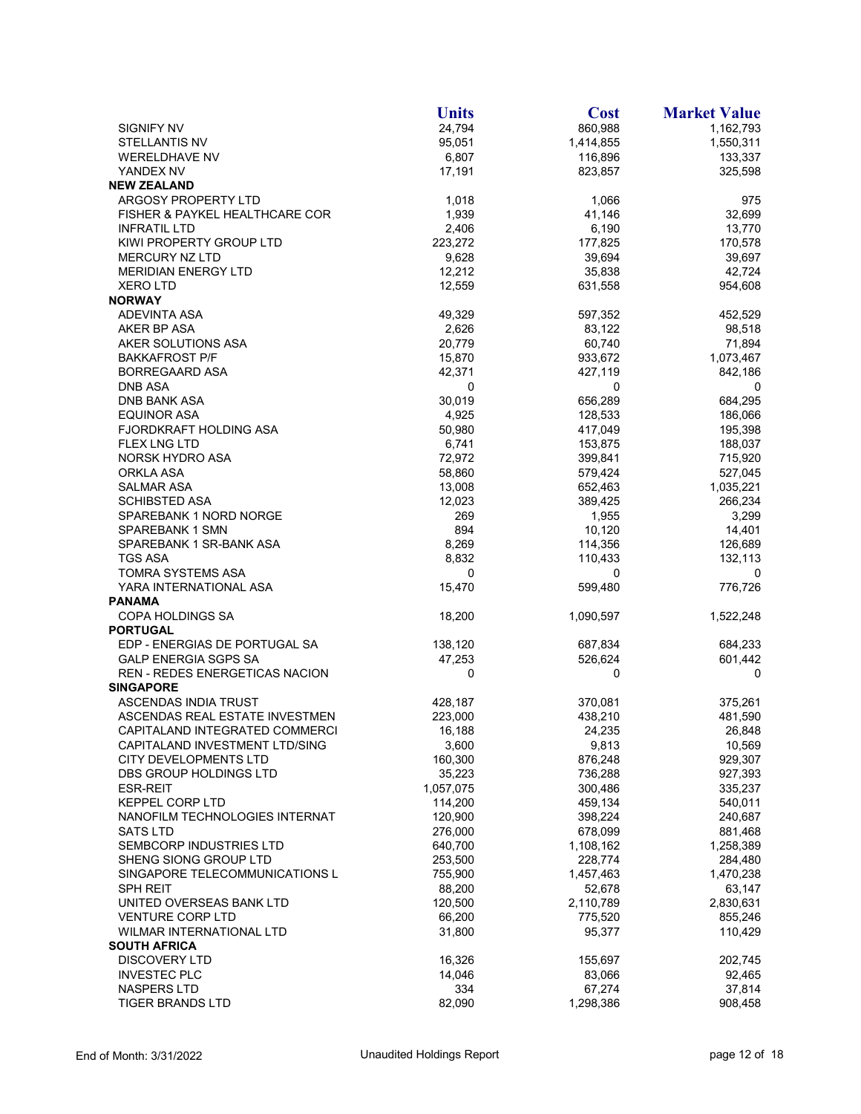|                                | <b>Units</b> | <b>Cost</b> | <b>Market Value</b> |
|--------------------------------|--------------|-------------|---------------------|
| <b>SIGNIFY NV</b>              | 24,794       | 860,988     | 1,162,793           |
| <b>STELLANTIS NV</b>           | 95,051       | 1,414,855   | 1,550,311           |
| <b>WERELDHAVE NV</b>           | 6,807        | 116,896     | 133,337             |
| YANDEX NV                      | 17,191       | 823,857     | 325,598             |
| <b>NEW ZEALAND</b>             |              |             |                     |
| ARGOSY PROPERTY LTD            | 1,018        | 1,066       | 975                 |
| FISHER & PAYKEL HEALTHCARE COR | 1,939        | 41,146      | 32,699              |
| <b>INFRATIL LTD</b>            | 2,406        | 6,190       | 13,770              |
| KIWI PROPERTY GROUP LTD        | 223,272      | 177,825     | 170,578             |
| <b>MERCURY NZ LTD</b>          | 9,628        | 39,694      | 39,697              |
| <b>MERIDIAN ENERGY LTD</b>     | 12,212       | 35,838      | 42,724              |
| <b>XERO LTD</b>                | 12,559       | 631,558     | 954,608             |
| <b>NORWAY</b>                  |              |             |                     |
| <b>ADEVINTA ASA</b>            | 49,329       | 597,352     | 452,529             |
| AKER BP ASA                    | 2,626        | 83,122      | 98,518              |
| AKER SOLUTIONS ASA             | 20,779       | 60,740      | 71,894              |
| <b>BAKKAFROST P/F</b>          | 15,870       | 933,672     | 1,073,467           |
| <b>BORREGAARD ASA</b>          | 42,371       | 427,119     | 842,186             |
| DNB ASA                        | 0            | 0           | 0                   |
| <b>DNB BANK ASA</b>            | 30,019       | 656,289     | 684,295             |
| <b>EQUINOR ASA</b>             | 4,925        | 128,533     | 186,066             |
| FJORDKRAFT HOLDING ASA         | 50,980       | 417,049     | 195,398             |
| <b>FLEX LNG LTD</b>            | 6,741        | 153,875     | 188,037             |
| NORSK HYDRO ASA                | 72,972       | 399,841     | 715,920             |
| ORKLA ASA                      | 58,860       | 579,424     | 527,045             |
| SALMAR ASA                     | 13,008       | 652,463     | 1,035,221           |
| <b>SCHIBSTED ASA</b>           | 12,023       | 389,425     | 266,234             |
| SPAREBANK 1 NORD NORGE         | 269          | 1,955       | 3,299               |
| SPAREBANK 1 SMN                | 894          | 10,120      | 14,401              |
| SPAREBANK 1 SR-BANK ASA        | 8,269        | 114,356     | 126,689             |
| TGS ASA                        | 8,832        | 110,433     | 132,113             |
| <b>TOMRA SYSTEMS ASA</b>       | 0            | 0           | 0                   |
| YARA INTERNATIONAL ASA         | 15,470       | 599,480     | 776,726             |
| <b>PANAMA</b>                  |              |             |                     |
| <b>COPA HOLDINGS SA</b>        | 18,200       | 1,090,597   | 1,522,248           |
| <b>PORTUGAL</b>                |              |             |                     |
| EDP - ENERGIAS DE PORTUGAL SA  | 138,120      | 687,834     | 684,233             |
| <b>GALP ENERGIA SGPS SA</b>    | 47,253       | 526,624     | 601,442             |
| REN - REDES ENERGETICAS NACION | 0            | 0           | 0                   |
| <b>SINGAPORE</b>               |              |             |                     |
| ASCENDAS INDIA TRUST           | 428,187      | 370,081     | 375,261             |
| ASCENDAS REAL ESTATE INVESTMEN | 223,000      | 438,210     | 481,590             |
| CAPITALAND INTEGRATED COMMERCI | 16,188       | 24,235      | 26,848              |
| CAPITALAND INVESTMENT LTD/SING | 3,600        | 9,813       | 10,569              |
| CITY DEVELOPMENTS LTD          | 160,300      | 876,248     | 929,307             |
| DBS GROUP HOLDINGS LTD         | 35,223       | 736,288     | 927,393             |
| <b>ESR-REIT</b>                | 1,057,075    | 300,486     | 335,237             |
| <b>KEPPEL CORP LTD</b>         | 114,200      | 459,134     | 540,011             |
| NANOFILM TECHNOLOGIES INTERNAT | 120,900      | 398,224     | 240,687             |
| <b>SATS LTD</b>                | 276,000      | 678,099     | 881,468             |
| SEMBCORP INDUSTRIES LTD        | 640,700      | 1,108,162   | 1,258,389           |
| SHENG SIONG GROUP LTD          | 253,500      | 228,774     | 284,480             |
| SINGAPORE TELECOMMUNICATIONS L | 755,900      | 1,457,463   | 1,470,238           |
| <b>SPH REIT</b>                | 88,200       | 52,678      | 63,147              |
| UNITED OVERSEAS BANK LTD       | 120,500      | 2,110,789   | 2,830,631           |
| <b>VENTURE CORP LTD</b>        | 66,200       | 775,520     | 855,246             |
| WILMAR INTERNATIONAL LTD       | 31,800       | 95,377      | 110,429             |
| <b>SOUTH AFRICA</b>            |              |             |                     |
| <b>DISCOVERY LTD</b>           | 16,326       | 155,697     | 202,745             |
| <b>INVESTEC PLC</b>            | 14,046       | 83,066      | 92,465              |
| NASPERS LTD                    | 334          | 67,274      | 37,814              |
| <b>TIGER BRANDS LTD</b>        | 82,090       | 1,298,386   | 908,458             |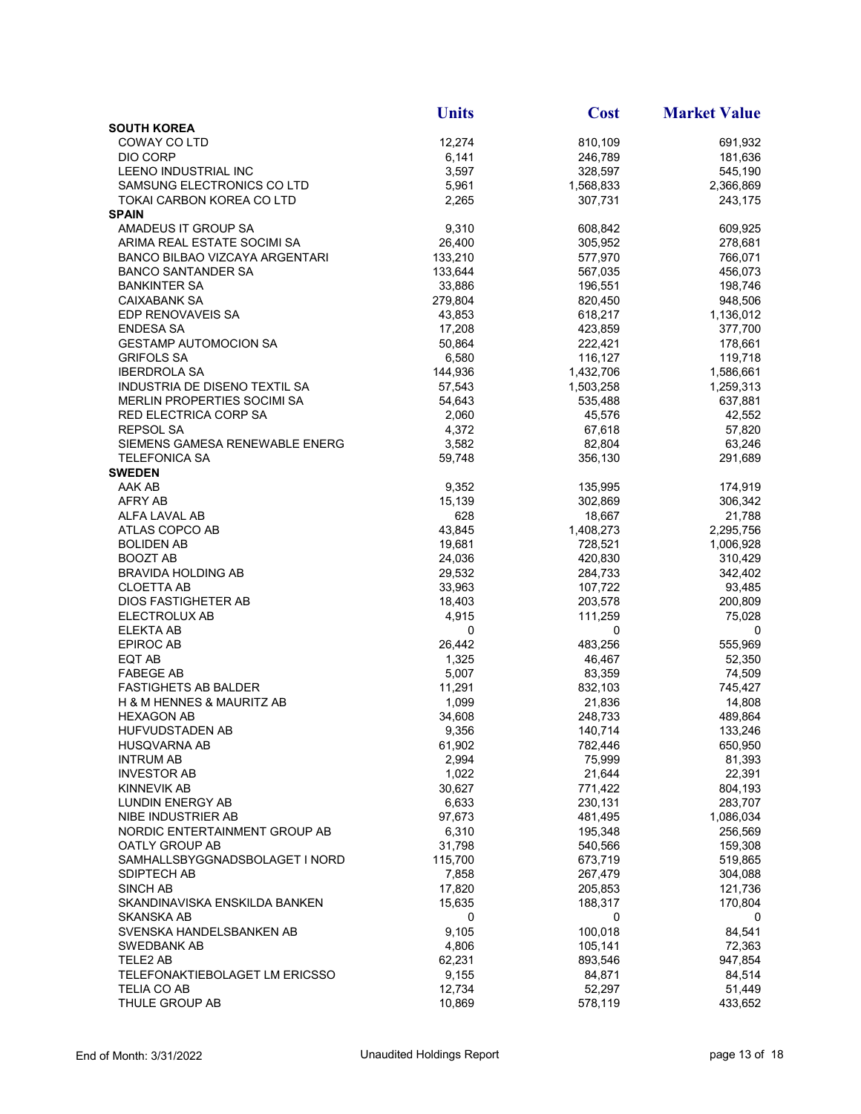|                                | <b>Units</b> | <b>Cost</b> | <b>Market Value</b>  |
|--------------------------------|--------------|-------------|----------------------|
| <b>SOUTH KOREA</b>             |              |             |                      |
| COWAY CO LTD                   | 12,274       | 810,109     | 691,932              |
| DIO CORP                       | 6,141        | 246,789     | 181,636              |
| LEENO INDUSTRIAL INC           | 3,597        | 328,597     | 545,190              |
| SAMSUNG ELECTRONICS CO LTD     | 5,961        | 1,568,833   | 2,366,869            |
| TOKAI CARBON KOREA CO LTD      | 2,265        | 307,731     | 243,175              |
| <b>SPAIN</b>                   |              |             |                      |
| AMADEUS IT GROUP SA            | 9,310        | 608,842     | 609,925              |
| ARIMA REAL ESTATE SOCIMI SA    | 26,400       | 305,952     | 278,681              |
| BANCO BILBAO VIZCAYA ARGENTARI | 133,210      | 577,970     | 766,071              |
| BANCO SANTANDER SA             | 133,644      | 567,035     | 456,073              |
| <b>BANKINTER SA</b>            | 33,886       | 196,551     | 198,746              |
| CAIXABANK SA                   | 279,804      | 820,450     | 948,506              |
| EDP RENOVAVEIS SA              | 43,853       | 618,217     | 1,136,012            |
| ENDESA SA                      | 17,208       | 423,859     | 377,700              |
| <b>GESTAMP AUTOMOCION SA</b>   | 50,864       | 222,421     | 178,661              |
| <b>GRIFOLS SA</b>              | 6,580        | 116,127     | 119,718              |
| <b>IBERDROLA SA</b>            | 144,936      | 1,432,706   | 1,586,661            |
| INDUSTRIA DE DISENO TEXTIL SA  | 57,543       | 1,503,258   | 1,259,313            |
| MERLIN PROPERTIES SOCIMI SA    | 54,643       | 535,488     | 637,881              |
| RED ELECTRICA CORP SA          | 2,060        | 45,576      | 42,552               |
| <b>REPSOL SA</b>               | 4,372        | 67,618      | 57,820               |
| SIEMENS GAMESA RENEWABLE ENERG | 3,582        | 82,804      | 63,246               |
| <b>TELEFONICA SA</b>           | 59,748       | 356,130     | 291,689              |
| <b>SWEDEN</b>                  |              |             |                      |
| AAK AB                         | 9,352        | 135,995     | 174,919              |
| AFRY AB                        | 15,139       | 302,869     | 306,342              |
| ALFA LAVAL AB                  | 628          | 18,667      | 21,788               |
| ATLAS COPCO AB                 | 43,845       | 1,408,273   | 2,295,756            |
| <b>BOLIDEN AB</b>              | 19,681       | 728,521     |                      |
| <b>BOOZT AB</b>                | 24,036       | 420,830     | 1,006,928<br>310,429 |
| <b>BRAVIDA HOLDING AB</b>      | 29,532       | 284,733     | 342,402              |
|                                |              |             |                      |
| <b>CLOETTA AB</b>              | 33,963       | 107,722     | 93,485               |
| DIOS FASTIGHETER AB            | 18,403       | 203,578     | 200,809              |
| ELECTROLUX AB                  | 4,915        | 111,259     | 75,028               |
| <b>ELEKTA AB</b>               | 0            | 0           | 0                    |
| EPIROC AB                      | 26,442       | 483,256     | 555,969              |
| EQT AB                         | 1,325        | 46,467      | 52,350               |
| <b>FABEGE AB</b>               | 5,007        | 83,359      | 74,509               |
| <b>FASTIGHETS AB BALDER</b>    | 11,291       | 832,103     | 745,427              |
| H & M HENNES & MAURITZ AB      | 1,099        | 21,836      | 14,808               |
| <b>HEXAGON AB</b>              | 34,608       | 248,733     | 489,864              |
| HUFVUDSTADEN AB                | 9,356        | 140,714     | 133,246              |
| <b>HUSQVARNA AB</b>            | 61,902       | 782,446     | 650,950              |
| <b>INTRUM AB</b>               | 2,994        | 75,999      | 81,393               |
| <b>INVESTOR AB</b>             | 1,022        | 21,644      | 22,391               |
| KINNEVIK AB                    | 30,627       | 771,422     | 804,193              |
| LUNDIN ENERGY AB               | 6,633        | 230,131     | 283,707              |
| NIBE INDUSTRIER AB             | 97,673       | 481,495     | 1,086,034            |
| NORDIC ENTERTAINMENT GROUP AB  | 6,310        | 195,348     | 256,569              |
| OATLY GROUP AB                 | 31,798       | 540,566     | 159,308              |
| SAMHALLSBYGGNADSBOLAGET I NORD | 115,700      | 673,719     | 519,865              |
| SDIPTECH AB                    | 7,858        | 267,479     | 304,088              |
| <b>SINCH AB</b>                | 17,820       | 205,853     | 121,736              |
| SKANDINAVISKA ENSKILDA BANKEN  | 15,635       | 188,317     | 170,804              |
| SKANSKA AB                     | 0            | 0           | 0                    |
| SVENSKA HANDELSBANKEN AB       | 9,105        | 100,018     | 84,541               |
| SWEDBANK AB                    | 4,806        | 105,141     | 72,363               |
| TELE2 AB                       | 62,231       | 893,546     | 947,854              |
| TELEFONAKTIEBOLAGET LM ERICSSO | 9,155        | 84,871      | 84,514               |
| TELIA CO AB                    | 12,734       | 52,297      | 51,449               |
| THULE GROUP AB                 | 10,869       | 578,119     | 433,652              |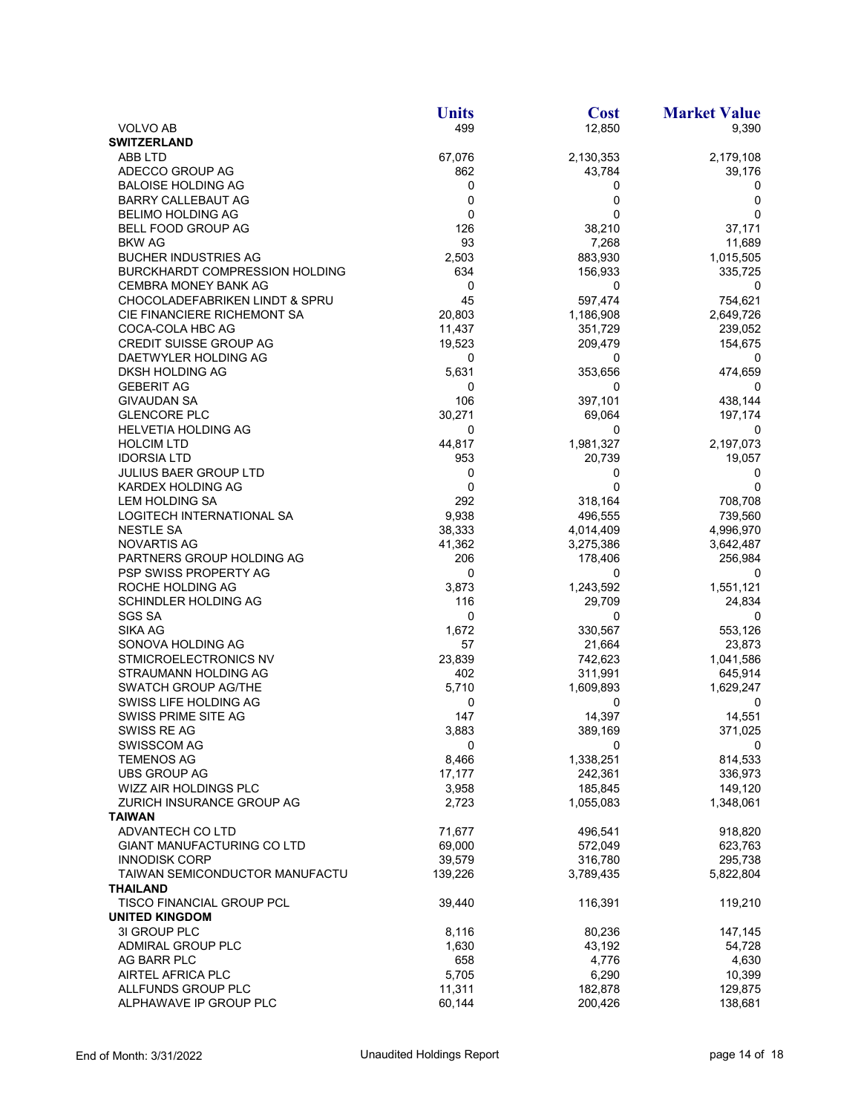|                                           | <b>Units</b> | <b>Cost</b> | <b>Market Value</b> |
|-------------------------------------------|--------------|-------------|---------------------|
| <b>VOLVO AB</b>                           | 499          | 12,850      | 9,390               |
| <b>SWITZERLAND</b>                        |              |             |                     |
| ABB LTD                                   | 67,076       | 2,130,353   | 2,179,108           |
| ADECCO GROUP AG                           | 862          | 43,784      | 39,176              |
| <b>BALOISE HOLDING AG</b>                 | 0            | 0           | 0                   |
| <b>BARRY CALLEBAUT AG</b>                 | 0            | 0           | 0                   |
| <b>BELIMO HOLDING AG</b>                  | 0            | $\mathbf 0$ | 0                   |
| BELL FOOD GROUP AG                        | 126          | 38,210      | 37,171              |
| <b>BKW AG</b>                             | 93           | 7,268       | 11,689              |
| <b>BUCHER INDUSTRIES AG</b>               | 2,503        | 883,930     | 1,015,505           |
| <b>BURCKHARDT COMPRESSION HOLDING</b>     | 634          | 156,933     | 335,725             |
|                                           |              |             |                     |
| <b>CEMBRA MONEY BANK AG</b>               | 0            | 0           | 0                   |
| <b>CHOCOLADEFABRIKEN LINDT &amp; SPRU</b> | 45           | 597,474     | 754,621             |
| CIE FINANCIERE RICHEMONT SA               | 20,803       | 1,186,908   | 2,649,726           |
| COCA-COLA HBC AG                          | 11,437       | 351,729     | 239,052             |
| <b>CREDIT SUISSE GROUP AG</b>             | 19,523       | 209,479     | 154,675             |
| DAETWYLER HOLDING AG                      | 0            | 0           | 0                   |
| DKSH HOLDING AG                           | 5,631        | 353,656     | 474,659             |
| <b>GEBERIT AG</b>                         | 0            | 0           |                     |
| <b>GIVAUDAN SA</b>                        | 106          | 397,101     | 438,144             |
| <b>GLENCORE PLC</b>                       | 30,271       | 69,064      | 197,174             |
| <b>HELVETIA HOLDING AG</b>                | 0            | 0           | 0                   |
| <b>HOLCIM LTD</b>                         | 44,817       | 1,981,327   | 2,197,073           |
| <b>IDORSIA LTD</b>                        | 953          | 20,739      | 19,057              |
| <b>JULIUS BAER GROUP LTD</b>              | 0            | 0           | 0                   |
| KARDEX HOLDING AG                         | $\mathbf 0$  | 0           | 0                   |
| <b>LEM HOLDING SA</b>                     | 292          | 318,164     | 708,708             |
| LOGITECH INTERNATIONAL SA                 | 9,938        | 496,555     | 739,560             |
| NESTLE SA                                 | 38,333       | 4,014,409   | 4,996,970           |
| NOVARTIS AG                               | 41,362       |             |                     |
|                                           |              | 3,275,386   | 3,642,487           |
| PARTNERS GROUP HOLDING AG                 | 206          | 178,406     | 256,984             |
| PSP SWISS PROPERTY AG                     | 0            | 0           |                     |
| ROCHE HOLDING AG                          | 3,873        | 1,243,592   | 1,551,121           |
| SCHINDLER HOLDING AG                      | 116          | 29,709      | 24,834              |
| <b>SGS SA</b>                             | 0            | 0           | 0                   |
| SIKA AG                                   | 1,672        | 330,567     | 553,126             |
| SONOVA HOLDING AG                         | 57           | 21,664      | 23,873              |
| STMICROELECTRONICS NV                     | 23,839       | 742,623     | 1,041,586           |
| STRAUMANN HOLDING AG                      | 402          | 311,991     | 645,914             |
| <b>SWATCH GROUP AG/THE</b>                | 5,710        | 1,609,893   | 1,629,247           |
| SWISS LIFE HOLDING AG                     | 0            | 0           | 0                   |
| SWISS PRIME SITE AG                       | 147          | 14,397      | 14,551              |
| SWISS RE AG                               | 3,883        | 389,169     | 371,025             |
| <b>SWISSCOM AG</b>                        | 0            | 0           | 0                   |
| <b>TEMENOS AG</b>                         | 8,466        | 1,338,251   | 814,533             |
| <b>UBS GROUP AG</b>                       | 17,177       | 242,361     | 336,973             |
| WIZZ AIR HOLDINGS PLC                     | 3,958        | 185,845     | 149,120             |
| ZURICH INSURANCE GROUP AG                 | 2,723        | 1,055,083   | 1,348,061           |
| <b>TAIWAN</b>                             |              |             |                     |
| ADVANTECH CO LTD                          | 71,677       | 496,541     | 918,820             |
| <b>GIANT MANUFACTURING CO LTD</b>         | 69,000       | 572,049     | 623,763             |
| <b>INNODISK CORP</b>                      | 39,579       | 316,780     | 295,738             |
| TAIWAN SEMICONDUCTOR MANUFACTU            | 139,226      | 3,789,435   | 5,822,804           |
|                                           |              |             |                     |
| THAILAND                                  |              |             |                     |
| TISCO FINANCIAL GROUP PCL                 | 39,440       | 116,391     | 119,210             |
| <b>UNITED KINGDOM</b>                     |              |             |                     |
| 3I GROUP PLC                              | 8,116        | 80,236      | 147,145             |
| ADMIRAL GROUP PLC                         | 1,630        | 43,192      | 54,728              |
| AG BARR PLC                               | 658          | 4,776       | 4,630               |
| AIRTEL AFRICA PLC                         | 5,705        | 6,290       | 10,399              |
| ALLFUNDS GROUP PLC                        | 11,311       | 182,878     | 129,875             |
| ALPHAWAVE IP GROUP PLC                    | 60,144       | 200,426     | 138,681             |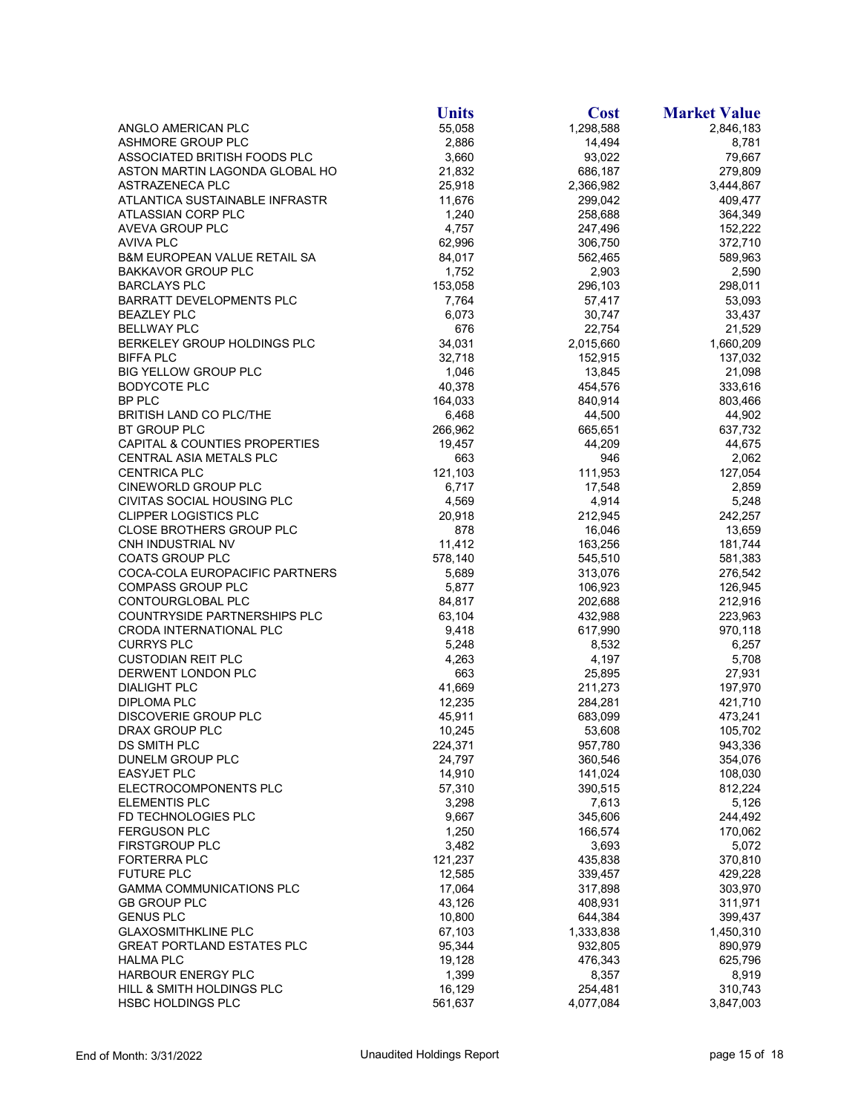|                                         | <b>Units</b> | <b>Cost</b> | <b>Market Value</b> |
|-----------------------------------------|--------------|-------------|---------------------|
| ANGLO AMERICAN PLC                      | 55,058       | 1,298,588   | 2,846,183           |
| ASHMORE GROUP PLC                       | 2,886        | 14,494      | 8,781               |
| ASSOCIATED BRITISH FOODS PLC            | 3,660        | 93,022      | 79,667              |
| ASTON MARTIN LAGONDA GLOBAL HO          | 21,832       | 686,187     | 279,809             |
| ASTRAZENECA PLC                         | 25,918       | 2,366,982   | 3,444,867           |
| ATLANTICA SUSTAINABLE INFRASTR          | 11,676       | 299,042     | 409,477             |
| ATLASSIAN CORP PLC                      | 1,240        | 258,688     | 364,349             |
| AVEVA GROUP PLC                         | 4,757        | 247,496     | 152,222             |
| AVIVA PLC                               | 62,996       | 306,750     | 372,710             |
| <b>B&amp;M EUROPEAN VALUE RETAIL SA</b> | 84,017       | 562,465     | 589,963             |
| <b>BAKKAVOR GROUP PLC</b>               | 1,752        | 2,903       | 2,590               |
| <b>BARCLAYS PLC</b>                     | 153,058      | 296,103     | 298,011             |
| <b>BARRATT DEVELOPMENTS PLC</b>         | 7,764        | 57,417      | 53,093              |
| BEAZLEY PLC                             | 6,073        | 30,747      | 33,437              |
| <b>BELLWAY PLC</b>                      | 676          | 22,754      | 21,529              |
| BERKELEY GROUP HOLDINGS PLC             | 34,031       | 2,015,660   | 1,660,209           |
| <b>BIFFA PLC</b>                        | 32,718       | 152,915     | 137,032             |
| <b>BIG YELLOW GROUP PLC</b>             | 1,046        | 13,845      | 21,098              |
| <b>BODYCOTE PLC</b>                     | 40,378       | 454,576     | 333,616             |
| <b>BP PLC</b>                           | 164,033      | 840,914     | 803,466             |
| BRITISH LAND CO PLC/THE                 | 6,468        | 44,500      | 44,902              |
| <b>BT GROUP PLC</b>                     | 266,962      | 665,651     | 637,732             |
| CAPITAL & COUNTIES PROPERTIES           | 19,457       | 44,209      | 44,675              |
| CENTRAL ASIA METALS PLC                 | 663          | 946         | 2,062               |
| <b>CENTRICA PLC</b>                     | 121,103      | 111,953     | 127,054             |
| CINEWORLD GROUP PLC                     | 6,717        | 17,548      | 2,859               |
| CIVITAS SOCIAL HOUSING PLC              | 4,569        | 4,914       | 5,248               |
| <b>CLIPPER LOGISTICS PLC</b>            | 20,918       | 212,945     | 242,257             |
| <b>CLOSE BROTHERS GROUP PLC</b>         | 878          | 16,046      | 13,659              |
| CNH INDUSTRIAL NV                       | 11,412       | 163,256     | 181,744             |
| <b>COATS GROUP PLC</b>                  | 578,140      | 545,510     | 581,383             |
| COCA-COLA EUROPACIFIC PARTNERS          | 5,689        | 313,076     | 276,542             |
| <b>COMPASS GROUP PLC</b>                | 5,877        | 106,923     | 126,945             |
| CONTOURGLOBAL PLC                       | 84,817       | 202,688     | 212,916             |
| COUNTRYSIDE PARTNERSHIPS PLC            | 63,104       | 432,988     | 223,963             |
| CRODA INTERNATIONAL PLC                 | 9,418        | 617,990     | 970,118             |
| <b>CURRYS PLC</b>                       | 5,248        | 8,532       | 6,257               |
| <b>CUSTODIAN REIT PLC</b>               | 4,263        | 4,197       | 5,708               |
| DERWENT LONDON PLC                      | 663          | 25,895      | 27,931              |
| <b>DIALIGHT PLC</b>                     | 41,669       | 211,273     | 197,970             |
| DIPLOMA PLC                             | 12,235       | 284,281     | 421,710             |
| DISCOVERIE GROUP PLC                    | 45,911       | 683,099     | 473,241             |
| DRAX GROUP PLC                          | 10,245       | 53,608      | 105,702             |
| DS SMITH PLC                            | 224,371      | 957,780     | 943,336             |
| DUNELM GROUP PLC                        | 24,797       | 360,546     | 354,076             |
| <b>EASYJET PLC</b>                      | 14,910       | 141,024     | 108,030             |
| ELECTROCOMPONENTS PLC                   | 57,310       | 390,515     | 812,224             |
| <b>ELEMENTIS PLC</b>                    | 3,298        | 7,613       | 5,126               |
| FD TECHNOLOGIES PLC                     | 9,667        | 345,606     | 244,492             |
| <b>FERGUSON PLC</b>                     | 1,250        | 166,574     | 170,062             |
| FIRSTGROUP PLC                          | 3,482        | 3,693       | 5,072               |
| <b>FORTERRA PLC</b>                     | 121,237      | 435,838     | 370,810             |
| <b>FUTURE PLC</b>                       | 12,585       | 339,457     | 429,228             |
| <b>GAMMA COMMUNICATIONS PLC</b>         | 17,064       | 317,898     | 303,970             |
| <b>GB GROUP PLC</b>                     | 43,126       | 408,931     | 311,971             |
| <b>GENUS PLC</b>                        | 10,800       | 644,384     | 399,437             |
| <b>GLAXOSMITHKLINE PLC</b>              | 67,103       | 1,333,838   | 1,450,310           |
| <b>GREAT PORTLAND ESTATES PLC</b>       | 95,344       | 932,805     | 890,979             |
| HALMA PLC                               | 19,128       | 476,343     | 625,796             |
| HARBOUR ENERGY PLC                      | 1,399        | 8,357       | 8,919               |
| HILL & SMITH HOLDINGS PLC               | 16,129       | 254,481     | 310,743             |
| <b>HSBC HOLDINGS PLC</b>                | 561,637      | 4,077,084   | 3,847,003           |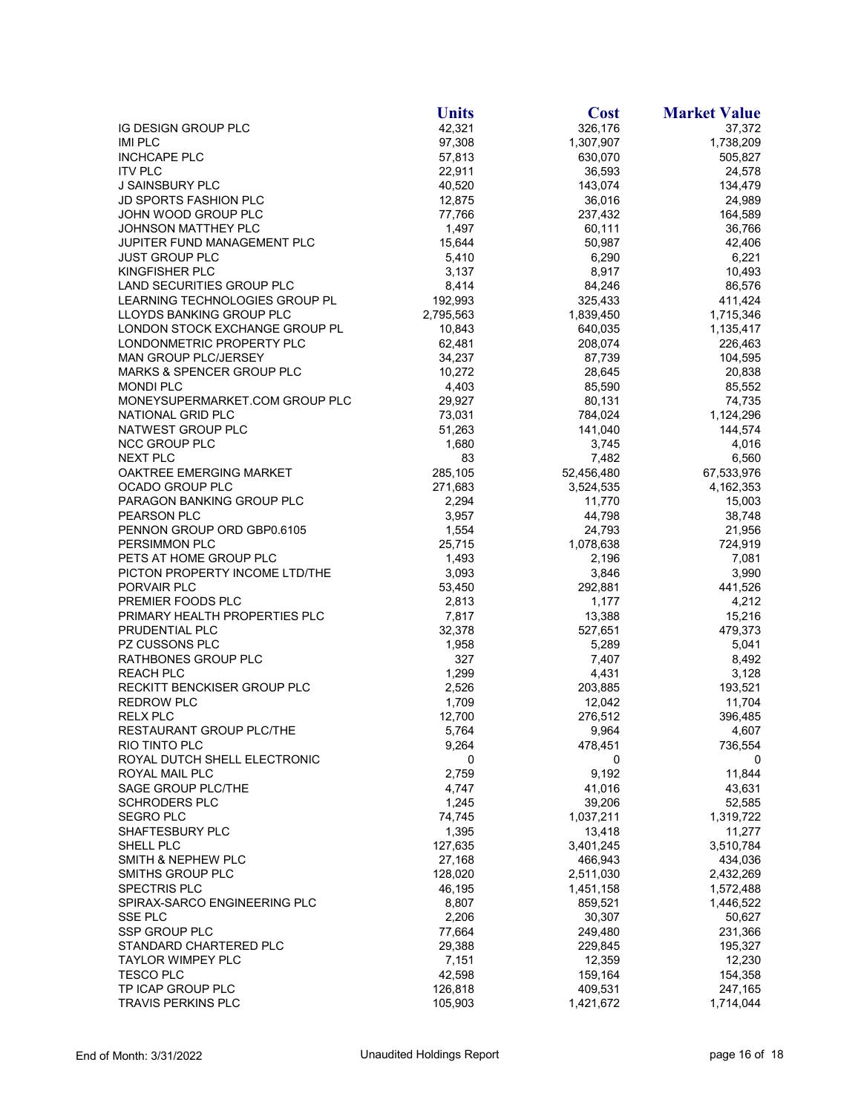|                                                             | <b>Units</b>     | <b>Cost</b>        | <b>Market Value</b>  |
|-------------------------------------------------------------|------------------|--------------------|----------------------|
| IG DESIGN GROUP PLC                                         | 42,321           | 326,176            | 37,372               |
| <b>IMI PLC</b>                                              | 97,308           | 1,307,907          | 1,738,209            |
| <b>INCHCAPE PLC</b>                                         | 57,813           | 630,070            | 505,827              |
| <b>ITV PLC</b>                                              | 22,911           | 36,593             | 24,578               |
| <b>J SAINSBURY PLC</b>                                      | 40,520           | 143,074            | 134,479              |
| <b>JD SPORTS FASHION PLC</b>                                | 12,875           | 36,016             | 24,989               |
| JOHN WOOD GROUP PLC                                         | 77,766           | 237,432            | 164,589              |
| JOHNSON MATTHEY PLC                                         | 1,497            | 60,111             | 36,766               |
| JUPITER FUND MANAGEMENT PLC                                 | 15,644           | 50,987             | 42,406               |
| <b>JUST GROUP PLC</b>                                       | 5,410            | 6,290              | 6,221                |
| KINGFISHER PLC                                              | 3,137            | 8,917              | 10,493               |
| LAND SECURITIES GROUP PLC                                   | 8,414            | 84,246             | 86,576               |
| LEARNING TECHNOLOGIES GROUP PL                              | 192,993          | 325,433            | 411,424              |
| LLOYDS BANKING GROUP PLC                                    | 2,795,563        | 1,839,450          | 1,715,346            |
| LONDON STOCK EXCHANGE GROUP PL<br>LONDONMETRIC PROPERTY PLC | 10,843<br>62,481 | 640,035<br>208,074 | 1,135,417<br>226,463 |
| MAN GROUP PLC/JERSEY                                        | 34,237           | 87,739             | 104,595              |
| <b>MARKS &amp; SPENCER GROUP PLC</b>                        | 10,272           | 28,645             | 20,838               |
| <b>MONDI PLC</b>                                            | 4,403            | 85,590             | 85,552               |
| MONEYSUPERMARKET.COM GROUP PLC                              | 29,927           | 80,131             | 74,735               |
| NATIONAL GRID PLC                                           | 73,031           | 784,024            | 1,124,296            |
| NATWEST GROUP PLC                                           | 51,263           | 141,040            | 144,574              |
| NCC GROUP PLC                                               | 1,680            | 3,745              | 4,016                |
| <b>NEXT PLC</b>                                             | 83               | 7,482              | 6,560                |
| OAKTREE EMERGING MARKET                                     | 285,105          | 52,456,480         | 67,533,976           |
| OCADO GROUP PLC                                             | 271,683          | 3,524,535          | 4,162,353            |
| PARAGON BANKING GROUP PLC                                   | 2,294            | 11,770             | 15,003               |
| PEARSON PLC                                                 | 3,957            | 44,798             | 38,748               |
| PENNON GROUP ORD GBP0.6105                                  | 1,554            | 24,793             | 21,956               |
| PERSIMMON PLC                                               | 25,715           | 1,078,638          | 724,919              |
| PETS AT HOME GROUP PLC                                      | 1,493            | 2,196              | 7,081                |
| PICTON PROPERTY INCOME LTD/THE                              | 3,093            | 3,846              | 3,990                |
| PORVAIR PLC                                                 | 53,450           | 292,881            | 441,526              |
| PREMIER FOODS PLC                                           | 2,813            | 1,177              | 4,212                |
| PRIMARY HEALTH PROPERTIES PLC                               | 7,817            | 13,388             | 15,216               |
| PRUDENTIAL PLC                                              | 32,378           | 527,651            | 479,373              |
| PZ CUSSONS PLC                                              | 1,958            | 5,289              | 5,041                |
| RATHBONES GROUP PLC                                         | 327              | 7,407              | 8,492                |
| <b>REACH PLC</b>                                            | 1,299            | 4,431              | 3,128                |
| RECKITT BENCKISER GROUP PLC                                 | 2,526            | 203,885            | 193,521              |
| <b>REDROW PLC</b>                                           | 1,709            | 12,042             | 11,704               |
| <b>RELX PLC</b>                                             | 12,700           | 276,512            | 396,485              |
| RESTAURANT GROUP PLC/THE<br>RIO TINTO PLC                   | 5,764            | 9,964              | 4,607                |
| ROYAL DUTCH SHELL ELECTRONIC                                | 9,264<br>0       | 478,451<br>0       | 736,554<br>0         |
| ROYAL MAIL PLC                                              | 2,759            | 9,192              | 11,844               |
| SAGE GROUP PLC/THE                                          | 4,747            | 41,016             | 43,631               |
| <b>SCHRODERS PLC</b>                                        | 1,245            | 39,206             | 52,585               |
| <b>SEGRO PLC</b>                                            | 74,745           | 1,037,211          | 1,319,722            |
| SHAFTESBURY PLC                                             | 1,395            | 13,418             | 11,277               |
| SHELL PLC                                                   | 127,635          | 3,401,245          | 3,510,784            |
| SMITH & NEPHEW PLC                                          | 27,168           | 466,943            | 434,036              |
| <b>SMITHS GROUP PLC</b>                                     | 128,020          | 2,511,030          | 2,432,269            |
| <b>SPECTRIS PLC</b>                                         | 46,195           | 1,451,158          | 1,572,488            |
| SPIRAX-SARCO ENGINEERING PLC                                | 8,807            | 859,521            | 1,446,522            |
| SSE PLC                                                     | 2,206            | 30,307             | 50,627               |
| SSP GROUP PLC                                               | 77,664           | 249,480            | 231,366              |
| STANDARD CHARTERED PLC                                      | 29,388           | 229,845            | 195,327              |
| TAYLOR WIMPEY PLC                                           | 7,151            | 12,359             | 12,230               |
| <b>TESCO PLC</b>                                            | 42,598           | 159,164            | 154,358              |
| TP ICAP GROUP PLC                                           | 126,818          | 409,531            | 247,165              |
| <b>TRAVIS PERKINS PLC</b>                                   | 105,903          | 1,421,672          | 1,714,044            |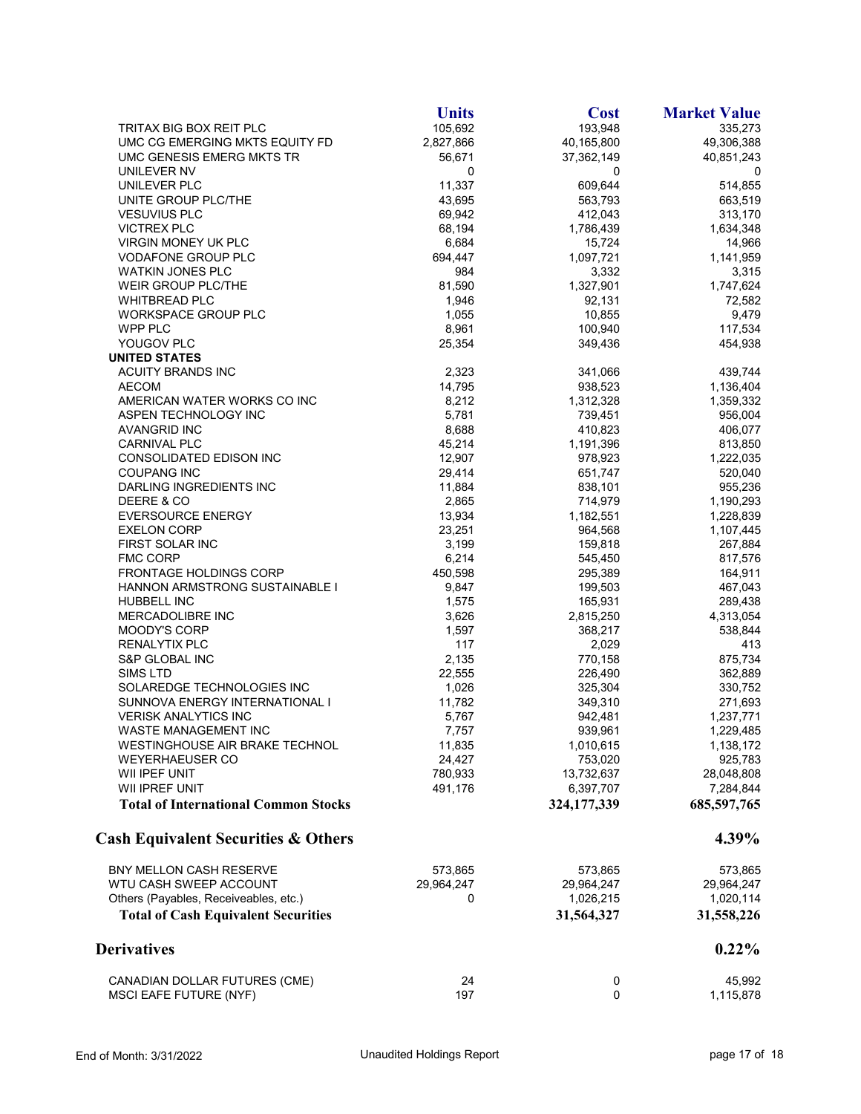|                                                | <b>Units</b> | <b>Cost</b> | <b>Market Value</b> |
|------------------------------------------------|--------------|-------------|---------------------|
| TRITAX BIG BOX REIT PLC                        | 105,692      | 193,948     | 335,273             |
| UMC CG EMERGING MKTS EQUITY FD                 | 2,827,866    | 40,165,800  | 49,306,388          |
| UMC GENESIS EMERG MKTS TR                      | 56.671       | 37,362,149  | 40,851,243          |
| UNILEVER NV                                    | 0            | 0           | 0                   |
| UNILEVER PLC                                   | 11,337       | 609,644     | 514,855             |
| UNITE GROUP PLC/THE                            | 43,695       | 563,793     | 663,519             |
| <b>VESUVIUS PLC</b>                            | 69,942       | 412,043     | 313,170             |
| <b>VICTREX PLC</b>                             | 68,194       | 1,786,439   | 1,634,348           |
| <b>VIRGIN MONEY UK PLC</b>                     | 6,684        | 15,724      | 14,966              |
| <b>VODAFONE GROUP PLC</b>                      | 694,447      | 1,097,721   | 1,141,959           |
| <b>WATKIN JONES PLC</b>                        | 984          | 3,332       | 3,315               |
| <b>WEIR GROUP PLC/THE</b>                      | 81,590       | 1,327,901   | 1,747,624           |
| <b>WHITBREAD PLC</b>                           | 1,946        | 92,131      | 72,582              |
| <b>WORKSPACE GROUP PLC</b>                     | 1,055        | 10,855      | 9,479               |
| WPP PLC                                        | 8,961        | 100,940     | 117,534             |
| YOUGOV PLC                                     | 25,354       | 349,436     | 454,938             |
| <b>UNITED STATES</b>                           |              |             |                     |
| <b>ACUITY BRANDS INC</b>                       | 2,323        | 341,066     | 439,744             |
| <b>AECOM</b>                                   | 14,795       | 938,523     | 1,136,404           |
| AMERICAN WATER WORKS CO INC                    | 8,212        | 1,312,328   | 1,359,332           |
| ASPEN TECHNOLOGY INC                           | 5,781        | 739,451     | 956,004             |
| <b>AVANGRID INC</b>                            | 8,688        | 410,823     | 406,077             |
| CARNIVAL PLC                                   | 45,214       | 1,191,396   | 813,850             |
| CONSOLIDATED EDISON INC                        | 12,907       | 978,923     | 1,222,035           |
| <b>COUPANG INC</b>                             | 29,414       | 651,747     | 520,040             |
| DARLING INGREDIENTS INC                        | 11,884       | 838,101     | 955,236             |
| DEERE & CO                                     | 2,865        | 714,979     | 1,190,293           |
| <b>EVERSOURCE ENERGY</b>                       | 13,934       | 1,182,551   | 1,228,839           |
| <b>EXELON CORP</b>                             | 23,251       | 964,568     | 1,107,445           |
| FIRST SOLAR INC                                | 3,199        | 159,818     | 267,884             |
| <b>FMC CORP</b>                                | 6,214        | 545,450     | 817,576             |
| FRONTAGE HOLDINGS CORP                         | 450,598      | 295,389     | 164,911             |
| HANNON ARMSTRONG SUSTAINABLE I                 | 9,847        | 199,503     | 467,043             |
| <b>HUBBELL INC</b>                             | 1,575        | 165,931     | 289,438             |
| <b>MERCADOLIBRE INC</b>                        | 3,626        | 2,815,250   | 4,313,054           |
| MOODY'S CORP                                   | 1,597        | 368,217     | 538,844             |
| RENALYTIX PLC                                  | 117          | 2,029       | 413                 |
| S&P GLOBAL INC                                 | 2,135        | 770,158     | 875,734             |
| SIMS LTD                                       | 22,555       | 226,490     | 362,889             |
| SOLAREDGE TECHNOLOGIES INC                     | 1,026        | 325,304     |                     |
| SUNNOVA ENERGY INTERNATIONAL I                 | 11,782       | 349,310     | 330,752<br>271,693  |
| <b>VERISK ANALYTICS INC</b>                    | 5,767        | 942,481     |                     |
|                                                |              |             | 1,237,771           |
| WASTE MANAGEMENT INC                           | 7,757        | 939,961     | 1,229,485           |
| WESTINGHOUSE AIR BRAKE TECHNOL                 | 11,835       | 1,010,615   | 1,138,172           |
| WEYERHAEUSER CO                                | 24,427       | 753,020     | 925,783             |
| WII IPEF UNIT                                  | 780,933      | 13,732,637  | 28,048,808          |
| WII IPREF UNIT                                 | 491,176      | 6,397,707   | 7,284,844           |
| <b>Total of International Common Stocks</b>    |              | 324,177,339 | 685,597,765         |
| <b>Cash Equivalent Securities &amp; Others</b> |              |             | 4.39%               |
| BNY MELLON CASH RESERVE                        | 573,865      | 573,865     | 573,865             |
| WTU CASH SWEEP ACCOUNT                         | 29,964,247   | 29,964,247  | 29,964,247          |
| Others (Payables, Receiveables, etc.)          | 0            | 1,026,215   | 1,020,114           |
| <b>Total of Cash Equivalent Securities</b>     |              | 31,564,327  | 31,558,226          |
| <b>Derivatives</b>                             |              |             | $0.22\%$            |
| CANADIAN DOLLAR FUTURES (CME)                  | 24           | 0           | 45,992              |
| <b>MSCI EAFE FUTURE (NYF)</b>                  | 197          | 0           | 1,115,878           |
|                                                |              |             |                     |